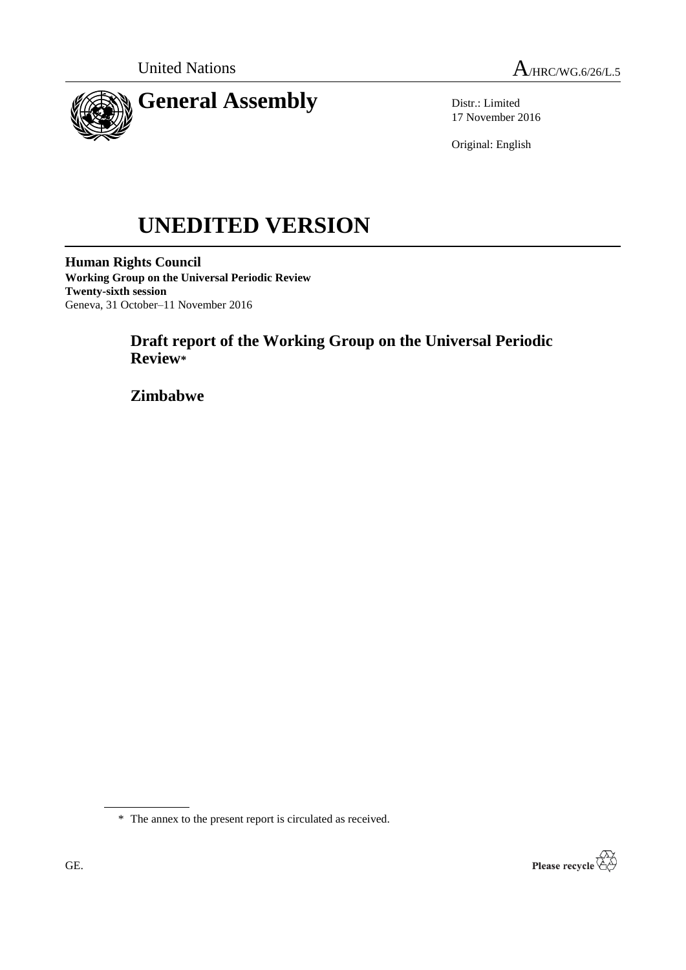



Distr.: Limited 17 November 2016

Original: English

# **UNEDITED VERSION**

**Human Rights Council Working Group on the Universal Periodic Review Twenty-sixth session** Geneva, 31 October–11 November 2016

# **Draft report of the Working Group on the Universal Periodic Review\***

**Zimbabwe**



<sup>\*</sup> The annex to the present report is circulated as received.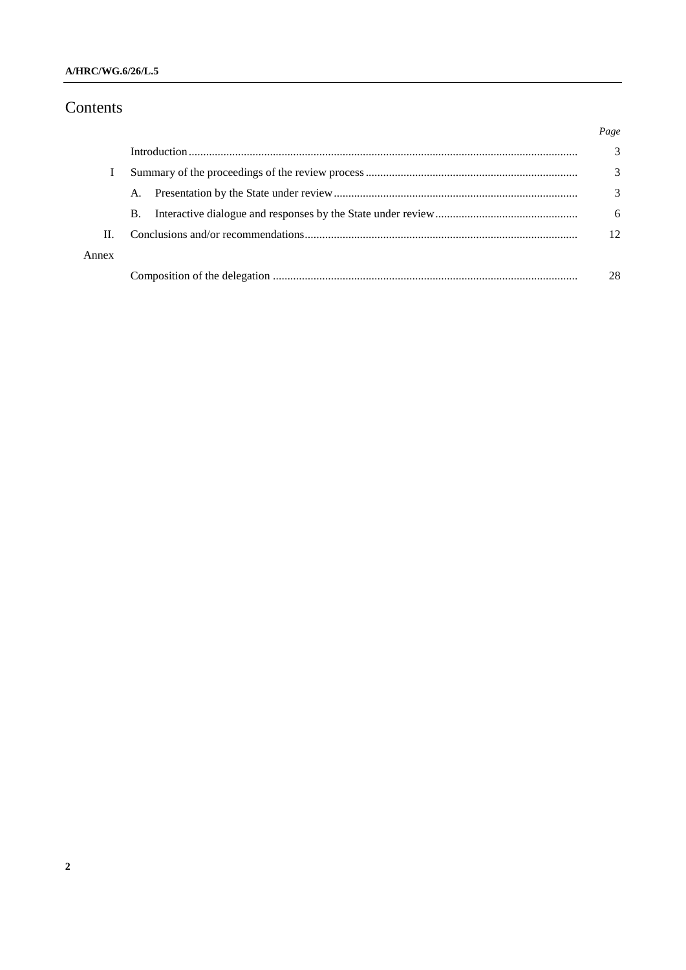#### **A/HRC/WG.6/26/L.5**

## Contents

|       |    | Page |
|-------|----|------|
|       |    | 3    |
|       |    | 3    |
|       | A. | 3    |
|       | В. | 6    |
| Н.    |    | 12   |
| Annex |    |      |
|       |    | 28   |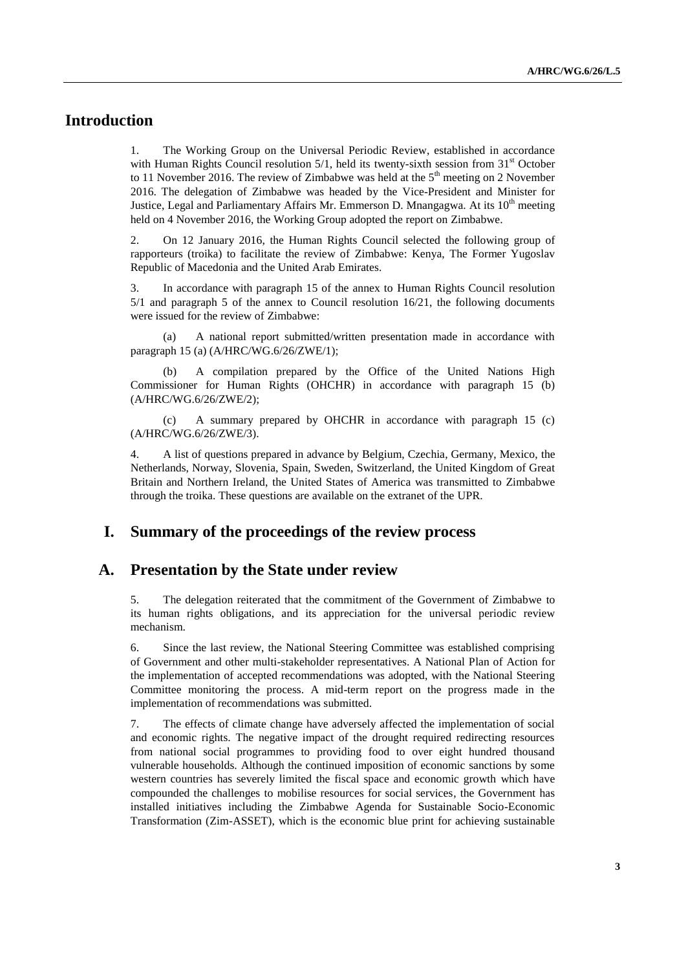## **Introduction**

1. The Working Group on the Universal Periodic Review, established in accordance with Human Rights Council resolution  $5/1$ , held its twenty-sixth session from  $31<sup>st</sup>$  October to 11 November 2016. The review of Zimbabwe was held at the  $5<sup>th</sup>$  meeting on 2 November 2016. The delegation of Zimbabwe was headed by the Vice-President and Minister for Justice, Legal and Parliamentary Affairs Mr. Emmerson D. Mnangagwa. At its  $10<sup>th</sup>$  meeting held on 4 November 2016, the Working Group adopted the report on Zimbabwe.

2. On 12 January 2016, the Human Rights Council selected the following group of rapporteurs (troika) to facilitate the review of Zimbabwe: Kenya, The Former Yugoslav Republic of Macedonia and the United Arab Emirates.

3. In accordance with paragraph 15 of the annex to Human Rights Council resolution 5/1 and paragraph 5 of the annex to Council resolution 16/21, the following documents were issued for the review of Zimbabwe:

(a) A national report submitted/written presentation made in accordance with paragraph 15 (a) (A/HRC/WG.6/26/ZWE/1);

(b) A compilation prepared by the Office of the United Nations High Commissioner for Human Rights (OHCHR) in accordance with paragraph 15 (b) (A/HRC/WG.6/26/ZWE/2);

(c) A summary prepared by OHCHR in accordance with paragraph 15 (c) (A/HRC/WG.6/26/ZWE/3).

4. A list of questions prepared in advance by Belgium, Czechia, Germany, Mexico, the Netherlands, Norway, Slovenia, Spain, Sweden, Switzerland, the United Kingdom of Great Britain and Northern Ireland, the United States of America was transmitted to Zimbabwe through the troika. These questions are available on the extranet of the UPR.

## **I. Summary of the proceedings of the review process**

#### **A. Presentation by the State under review**

5. The delegation reiterated that the commitment of the Government of Zimbabwe to its human rights obligations, and its appreciation for the universal periodic review mechanism.

6. Since the last review, the National Steering Committee was established comprising of Government and other multi-stakeholder representatives. A National Plan of Action for the implementation of accepted recommendations was adopted, with the National Steering Committee monitoring the process. A mid-term report on the progress made in the implementation of recommendations was submitted.

7. The effects of climate change have adversely affected the implementation of social and economic rights. The negative impact of the drought required redirecting resources from national social programmes to providing food to over eight hundred thousand vulnerable households. Although the continued imposition of economic sanctions by some western countries has severely limited the fiscal space and economic growth which have compounded the challenges to mobilise resources for social services, the Government has installed initiatives including the Zimbabwe Agenda for Sustainable Socio-Economic Transformation (Zim-ASSET), which is the economic blue print for achieving sustainable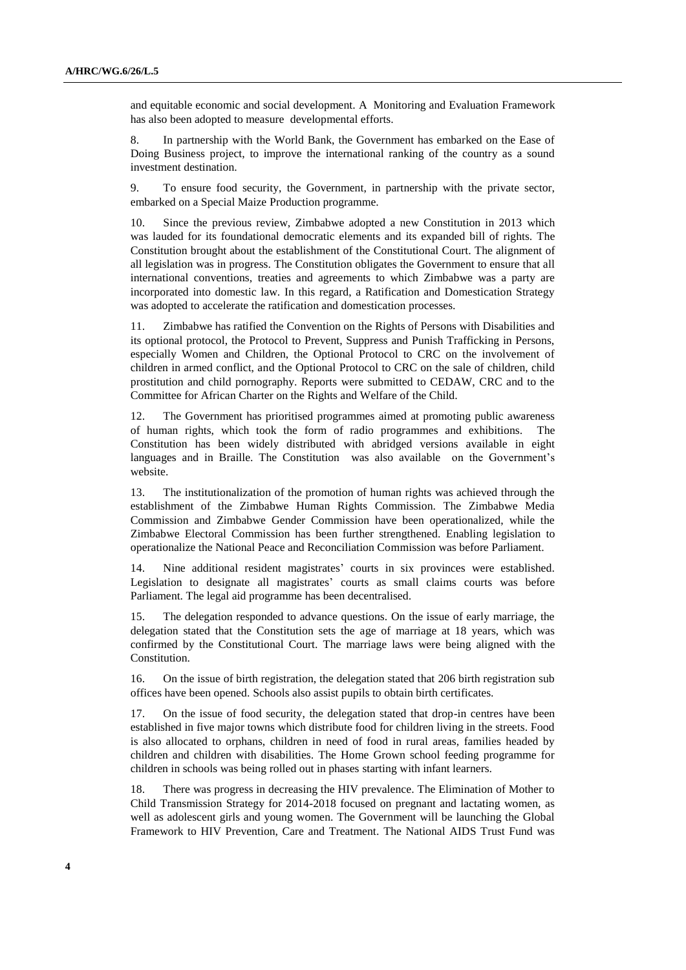and equitable economic and social development. A Monitoring and Evaluation Framework has also been adopted to measure developmental efforts.

8. In partnership with the World Bank, the Government has embarked on the Ease of Doing Business project, to improve the international ranking of the country as a sound investment destination.

9. To ensure food security, the Government, in partnership with the private sector, embarked on a Special Maize Production programme.

10. Since the previous review, Zimbabwe adopted a new Constitution in 2013 which was lauded for its foundational democratic elements and its expanded bill of rights. The Constitution brought about the establishment of the Constitutional Court. The alignment of all legislation was in progress. The Constitution obligates the Government to ensure that all international conventions, treaties and agreements to which Zimbabwe was a party are incorporated into domestic law. In this regard, a Ratification and Domestication Strategy was adopted to accelerate the ratification and domestication processes.

11. Zimbabwe has ratified the Convention on the Rights of Persons with Disabilities and its optional protocol, the Protocol to Prevent, Suppress and Punish Trafficking in Persons, especially Women and Children, the Optional Protocol to CRC on the involvement of children in armed conflict, and the Optional Protocol to CRC on the sale of children, child prostitution and child pornography. Reports were submitted to CEDAW, CRC and to the Committee for African Charter on the Rights and Welfare of the Child.

12. The Government has prioritised programmes aimed at promoting public awareness of human rights, which took the form of radio programmes and exhibitions. The Constitution has been widely distributed with abridged versions available in eight languages and in Braille. The Constitution was also available on the Government's website.

13. The institutionalization of the promotion of human rights was achieved through the establishment of the Zimbabwe Human Rights Commission. The Zimbabwe Media Commission and Zimbabwe Gender Commission have been operationalized, while the Zimbabwe Electoral Commission has been further strengthened. Enabling legislation to operationalize the National Peace and Reconciliation Commission was before Parliament.

14. Nine additional resident magistrates' courts in six provinces were established. Legislation to designate all magistrates' courts as small claims courts was before Parliament. The legal aid programme has been decentralised.

15. The delegation responded to advance questions. On the issue of early marriage, the delegation stated that the Constitution sets the age of marriage at 18 years, which was confirmed by the Constitutional Court. The marriage laws were being aligned with the Constitution.

16. On the issue of birth registration, the delegation stated that 206 birth registration sub offices have been opened. Schools also assist pupils to obtain birth certificates.

17. On the issue of food security, the delegation stated that drop-in centres have been established in five major towns which distribute food for children living in the streets. Food is also allocated to orphans, children in need of food in rural areas, families headed by children and children with disabilities. The Home Grown school feeding programme for children in schools was being rolled out in phases starting with infant learners.

18. There was progress in decreasing the HIV prevalence. The Elimination of Mother to Child Transmission Strategy for 2014-2018 focused on pregnant and lactating women, as well as adolescent girls and young women. The Government will be launching the Global Framework to HIV Prevention, Care and Treatment. The National AIDS Trust Fund was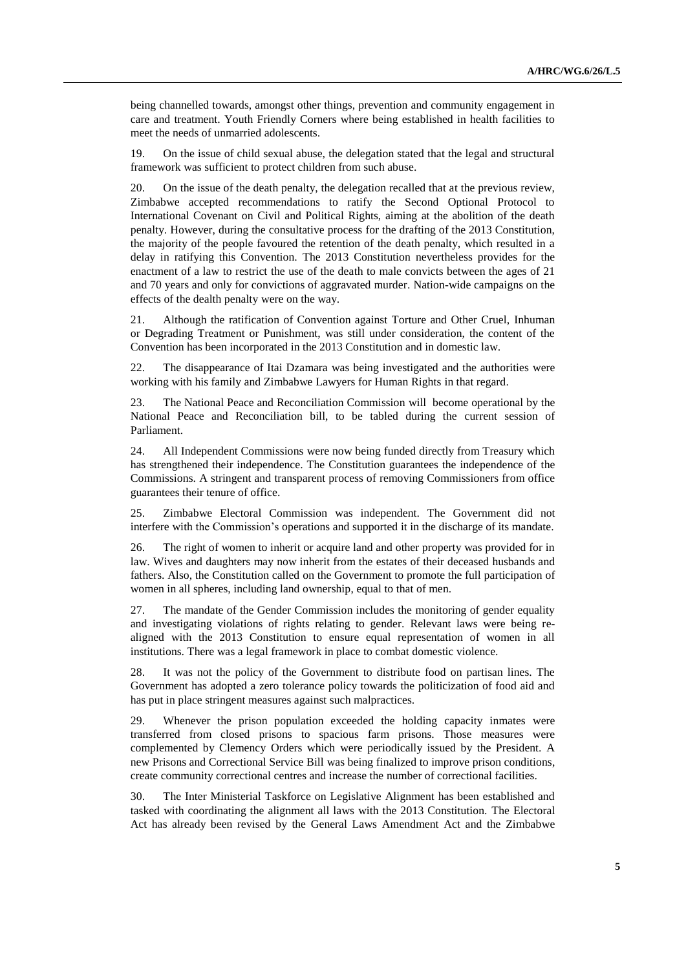being channelled towards, amongst other things, prevention and community engagement in care and treatment. Youth Friendly Corners where being established in health facilities to meet the needs of unmarried adolescents.

19. On the issue of child sexual abuse, the delegation stated that the legal and structural framework was sufficient to protect children from such abuse.

20. On the issue of the death penalty, the delegation recalled that at the previous review, Zimbabwe accepted recommendations to ratify the Second Optional Protocol to International Covenant on Civil and Political Rights, aiming at the abolition of the death penalty. However, during the consultative process for the drafting of the 2013 Constitution, the majority of the people favoured the retention of the death penalty, which resulted in a delay in ratifying this Convention. The 2013 Constitution nevertheless provides for the enactment of a law to restrict the use of the death to male convicts between the ages of 21 and 70 years and only for convictions of aggravated murder. Nation-wide campaigns on the effects of the dealth penalty were on the way.

21. Although the ratification of Convention against Torture and Other Cruel, Inhuman or Degrading Treatment or Punishment, was still under consideration, the content of the Convention has been incorporated in the 2013 Constitution and in domestic law.

22. The disappearance of Itai Dzamara was being investigated and the authorities were working with his family and Zimbabwe Lawyers for Human Rights in that regard.

23. The National Peace and Reconciliation Commission will become operational by the National Peace and Reconciliation bill, to be tabled during the current session of Parliament.

24. All Independent Commissions were now being funded directly from Treasury which has strengthened their independence. The Constitution guarantees the independence of the Commissions. A stringent and transparent process of removing Commissioners from office guarantees their tenure of office.

25. Zimbabwe Electoral Commission was independent. The Government did not interfere with the Commission's operations and supported it in the discharge of its mandate.

26. The right of women to inherit or acquire land and other property was provided for in law. Wives and daughters may now inherit from the estates of their deceased husbands and fathers. Also, the Constitution called on the Government to promote the full participation of women in all spheres, including land ownership, equal to that of men.

27. The mandate of the Gender Commission includes the monitoring of gender equality and investigating violations of rights relating to gender. Relevant laws were being realigned with the 2013 Constitution to ensure equal representation of women in all institutions. There was a legal framework in place to combat domestic violence.

28. It was not the policy of the Government to distribute food on partisan lines. The Government has adopted a zero tolerance policy towards the politicization of food aid and has put in place stringent measures against such malpractices.

29. Whenever the prison population exceeded the holding capacity inmates were transferred from closed prisons to spacious farm prisons. Those measures were complemented by Clemency Orders which were periodically issued by the President. A new Prisons and Correctional Service Bill was being finalized to improve prison conditions, create community correctional centres and increase the number of correctional facilities.

30. The Inter Ministerial Taskforce on Legislative Alignment has been established and tasked with coordinating the alignment all laws with the 2013 Constitution. The Electoral Act has already been revised by the General Laws Amendment Act and the Zimbabwe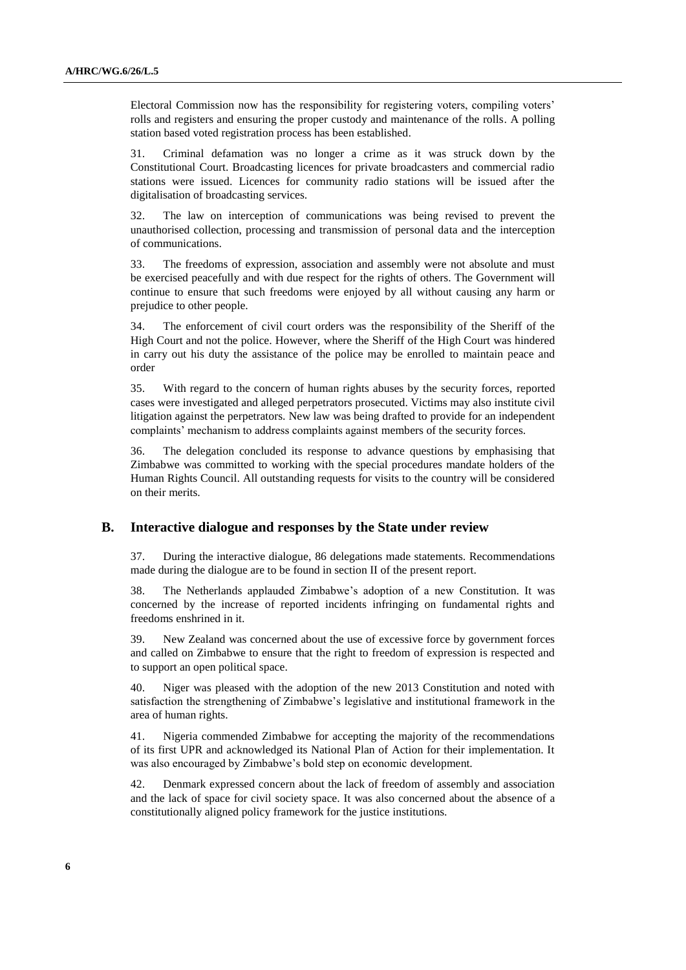Electoral Commission now has the responsibility for registering voters, compiling voters' rolls and registers and ensuring the proper custody and maintenance of the rolls. A polling station based voted registration process has been established.

31. Criminal defamation was no longer a crime as it was struck down by the Constitutional Court. Broadcasting licences for private broadcasters and commercial radio stations were issued. Licences for community radio stations will be issued after the digitalisation of broadcasting services.

32. The law on interception of communications was being revised to prevent the unauthorised collection, processing and transmission of personal data and the interception of communications.

33. The freedoms of expression, association and assembly were not absolute and must be exercised peacefully and with due respect for the rights of others. The Government will continue to ensure that such freedoms were enjoyed by all without causing any harm or prejudice to other people.

34. The enforcement of civil court orders was the responsibility of the Sheriff of the High Court and not the police. However, where the Sheriff of the High Court was hindered in carry out his duty the assistance of the police may be enrolled to maintain peace and order

35. With regard to the concern of human rights abuses by the security forces, reported cases were investigated and alleged perpetrators prosecuted. Victims may also institute civil litigation against the perpetrators. New law was being drafted to provide for an independent complaints' mechanism to address complaints against members of the security forces.

36. The delegation concluded its response to advance questions by emphasising that Zimbabwe was committed to working with the special procedures mandate holders of the Human Rights Council. All outstanding requests for visits to the country will be considered on their merits.

#### **B. Interactive dialogue and responses by the State under review**

37. During the interactive dialogue, 86 delegations made statements. Recommendations made during the dialogue are to be found in section II of the present report.

38. The Netherlands applauded Zimbabwe's adoption of a new Constitution. It was concerned by the increase of reported incidents infringing on fundamental rights and freedoms enshrined in it.

39. New Zealand was concerned about the use of excessive force by government forces and called on Zimbabwe to ensure that the right to freedom of expression is respected and to support an open political space.

40. Niger was pleased with the adoption of the new 2013 Constitution and noted with satisfaction the strengthening of Zimbabwe's legislative and institutional framework in the area of human rights.

41. Nigeria commended Zimbabwe for accepting the majority of the recommendations of its first UPR and acknowledged its National Plan of Action for their implementation. It was also encouraged by Zimbabwe's bold step on economic development.

42. Denmark expressed concern about the lack of freedom of assembly and association and the lack of space for civil society space. It was also concerned about the absence of a constitutionally aligned policy framework for the justice institutions.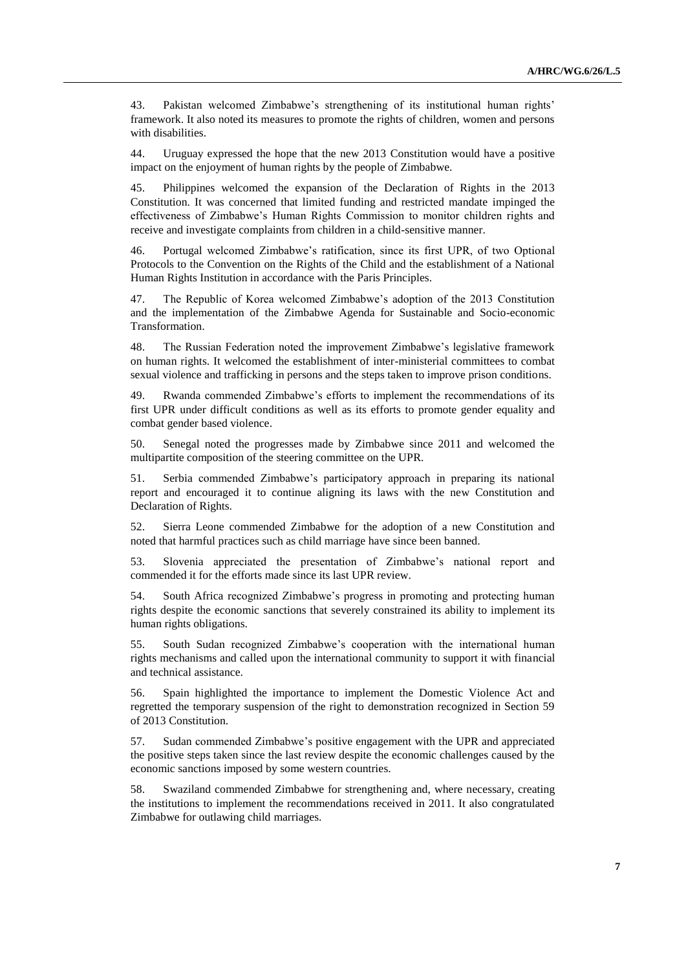43. Pakistan welcomed Zimbabwe's strengthening of its institutional human rights' framework. It also noted its measures to promote the rights of children, women and persons with disabilities.

44. Uruguay expressed the hope that the new 2013 Constitution would have a positive impact on the enjoyment of human rights by the people of Zimbabwe.

45. Philippines welcomed the expansion of the Declaration of Rights in the 2013 Constitution. It was concerned that limited funding and restricted mandate impinged the effectiveness of Zimbabwe's Human Rights Commission to monitor children rights and receive and investigate complaints from children in a child-sensitive manner.

46. Portugal welcomed Zimbabwe's ratification, since its first UPR, of two Optional Protocols to the Convention on the Rights of the Child and the establishment of a National Human Rights Institution in accordance with the Paris Principles.

47. The Republic of Korea welcomed Zimbabwe's adoption of the 2013 Constitution and the implementation of the Zimbabwe Agenda for Sustainable and Socio-economic Transformation.

48. The Russian Federation noted the improvement Zimbabwe's legislative framework on human rights. It welcomed the establishment of inter-ministerial committees to combat sexual violence and trafficking in persons and the steps taken to improve prison conditions.

49. Rwanda commended Zimbabwe's efforts to implement the recommendations of its first UPR under difficult conditions as well as its efforts to promote gender equality and combat gender based violence.

50. Senegal noted the progresses made by Zimbabwe since 2011 and welcomed the multipartite composition of the steering committee on the UPR.

51. Serbia commended Zimbabwe's participatory approach in preparing its national report and encouraged it to continue aligning its laws with the new Constitution and Declaration of Rights.

52. Sierra Leone commended Zimbabwe for the adoption of a new Constitution and noted that harmful practices such as child marriage have since been banned.

53. Slovenia appreciated the presentation of Zimbabwe's national report and commended it for the efforts made since its last UPR review.

54. South Africa recognized Zimbabwe's progress in promoting and protecting human rights despite the economic sanctions that severely constrained its ability to implement its human rights obligations.

55. South Sudan recognized Zimbabwe's cooperation with the international human rights mechanisms and called upon the international community to support it with financial and technical assistance.

56. Spain highlighted the importance to implement the Domestic Violence Act and regretted the temporary suspension of the right to demonstration recognized in Section 59 of 2013 Constitution.

57. Sudan commended Zimbabwe's positive engagement with the UPR and appreciated the positive steps taken since the last review despite the economic challenges caused by the economic sanctions imposed by some western countries.

58. Swaziland commended Zimbabwe for strengthening and, where necessary, creating the institutions to implement the recommendations received in 2011. It also congratulated Zimbabwe for outlawing child marriages.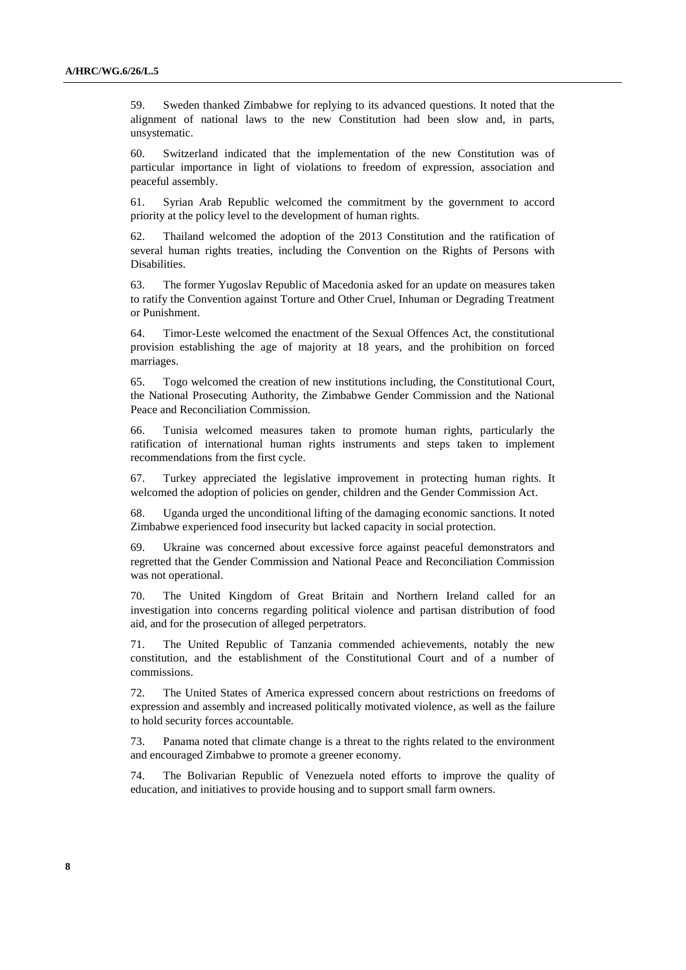59. Sweden thanked Zimbabwe for replying to its advanced questions. It noted that the alignment of national laws to the new Constitution had been slow and, in parts, unsystematic.

60. Switzerland indicated that the implementation of the new Constitution was of particular importance in light of violations to freedom of expression, association and peaceful assembly.

61. Syrian Arab Republic welcomed the commitment by the government to accord priority at the policy level to the development of human rights.

62. Thailand welcomed the adoption of the 2013 Constitution and the ratification of several human rights treaties, including the Convention on the Rights of Persons with Disabilities.

63. The former Yugoslav Republic of Macedonia asked for an update on measures taken to ratify the Convention against Torture and Other Cruel, Inhuman or Degrading Treatment or Punishment.

64. Timor-Leste welcomed the enactment of the Sexual Offences Act, the constitutional provision establishing the age of majority at 18 years, and the prohibition on forced marriages.

65. Togo welcomed the creation of new institutions including, the Constitutional Court, the National Prosecuting Authority, the Zimbabwe Gender Commission and the National Peace and Reconciliation Commission.

66. Tunisia welcomed measures taken to promote human rights, particularly the ratification of international human rights instruments and steps taken to implement recommendations from the first cycle.

67. Turkey appreciated the legislative improvement in protecting human rights. It welcomed the adoption of policies on gender, children and the Gender Commission Act.

68. Uganda urged the unconditional lifting of the damaging economic sanctions. It noted Zimbabwe experienced food insecurity but lacked capacity in social protection.

69. Ukraine was concerned about excessive force against peaceful demonstrators and regretted that the Gender Commission and National Peace and Reconciliation Commission was not operational.

70. The United Kingdom of Great Britain and Northern Ireland called for an investigation into concerns regarding political violence and partisan distribution of food aid, and for the prosecution of alleged perpetrators.

71. The United Republic of Tanzania commended achievements, notably the new constitution, and the establishment of the Constitutional Court and of a number of commissions.

72. The United States of America expressed concern about restrictions on freedoms of expression and assembly and increased politically motivated violence, as well as the failure to hold security forces accountable.

73. Panama noted that climate change is a threat to the rights related to the environment and encouraged Zimbabwe to promote a greener economy.

74. The Bolivarian Republic of Venezuela noted efforts to improve the quality of education, and initiatives to provide housing and to support small farm owners.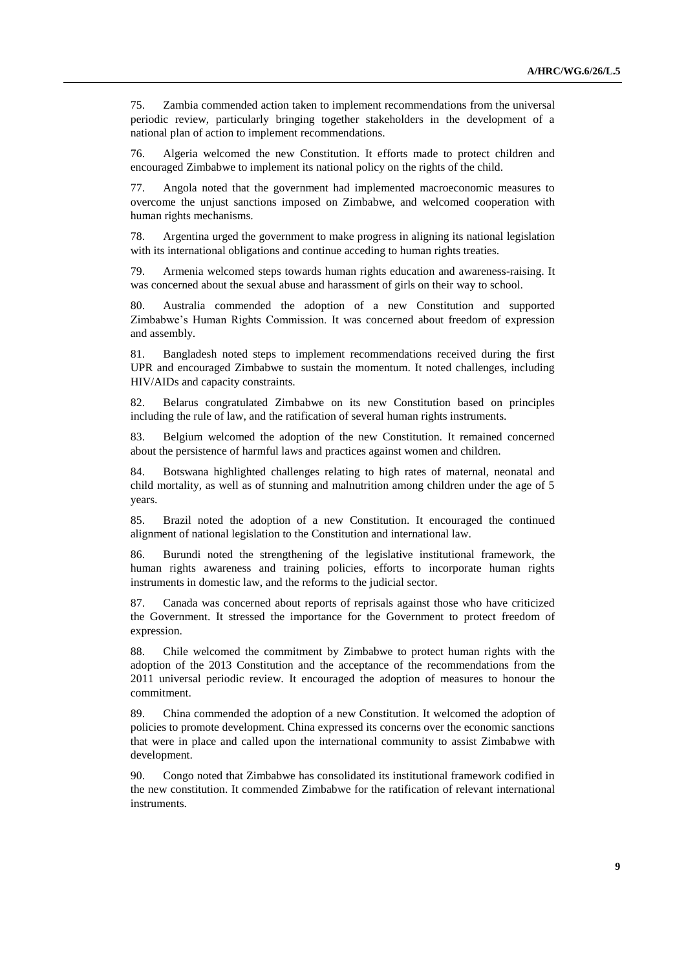75. Zambia commended action taken to implement recommendations from the universal periodic review, particularly bringing together stakeholders in the development of a national plan of action to implement recommendations.

76. Algeria welcomed the new Constitution. It efforts made to protect children and encouraged Zimbabwe to implement its national policy on the rights of the child.

77. Angola noted that the government had implemented macroeconomic measures to overcome the unjust sanctions imposed on Zimbabwe, and welcomed cooperation with human rights mechanisms.

78. Argentina urged the government to make progress in aligning its national legislation with its international obligations and continue acceding to human rights treaties.

79. Armenia welcomed steps towards human rights education and awareness-raising. It was concerned about the sexual abuse and harassment of girls on their way to school.

80. Australia commended the adoption of a new Constitution and supported Zimbabwe's Human Rights Commission. It was concerned about freedom of expression and assembly.

81. Bangladesh noted steps to implement recommendations received during the first UPR and encouraged Zimbabwe to sustain the momentum. It noted challenges, including HIV/AIDs and capacity constraints.

82. Belarus congratulated Zimbabwe on its new Constitution based on principles including the rule of law, and the ratification of several human rights instruments.

83. Belgium welcomed the adoption of the new Constitution. It remained concerned about the persistence of harmful laws and practices against women and children.

84. Botswana highlighted challenges relating to high rates of maternal, neonatal and child mortality, as well as of stunning and malnutrition among children under the age of 5 years.

85. Brazil noted the adoption of a new Constitution. It encouraged the continued alignment of national legislation to the Constitution and international law.

86. Burundi noted the strengthening of the legislative institutional framework, the human rights awareness and training policies, efforts to incorporate human rights instruments in domestic law, and the reforms to the judicial sector.

87. Canada was concerned about reports of reprisals against those who have criticized the Government. It stressed the importance for the Government to protect freedom of expression.

88. Chile welcomed the commitment by Zimbabwe to protect human rights with the adoption of the 2013 Constitution and the acceptance of the recommendations from the 2011 universal periodic review. It encouraged the adoption of measures to honour the commitment.

89. China commended the adoption of a new Constitution. It welcomed the adoption of policies to promote development. China expressed its concerns over the economic sanctions that were in place and called upon the international community to assist Zimbabwe with development.

90. Congo noted that Zimbabwe has consolidated its institutional framework codified in the new constitution. It commended Zimbabwe for the ratification of relevant international instruments.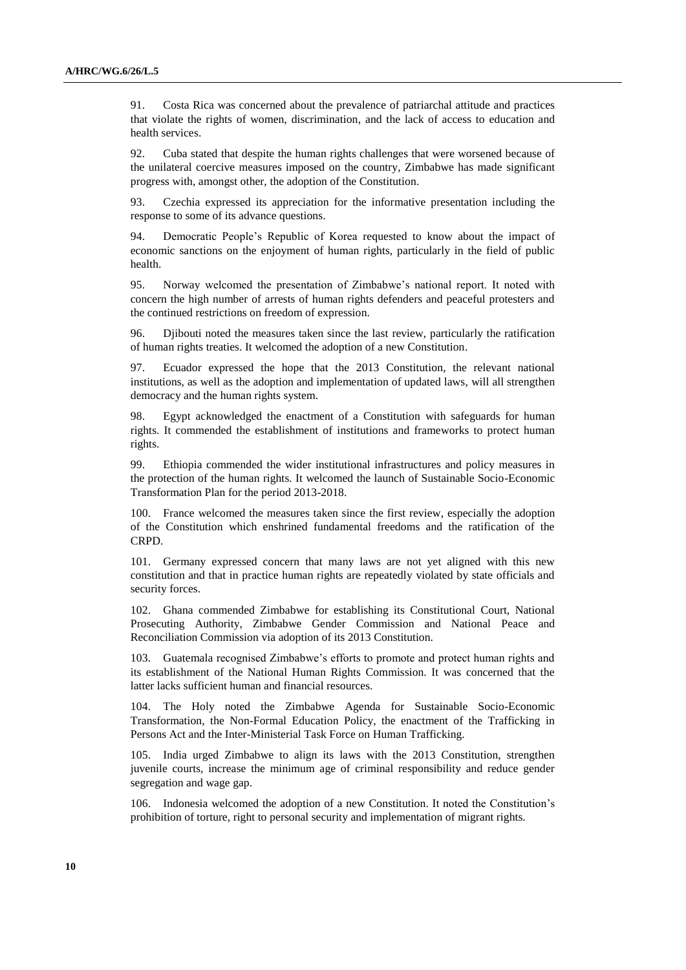91. Costa Rica was concerned about the prevalence of patriarchal attitude and practices that violate the rights of women, discrimination, and the lack of access to education and health services.

92. Cuba stated that despite the human rights challenges that were worsened because of the unilateral coercive measures imposed on the country, Zimbabwe has made significant progress with, amongst other, the adoption of the Constitution.

93. Czechia expressed its appreciation for the informative presentation including the response to some of its advance questions.

94. Democratic People's Republic of Korea requested to know about the impact of economic sanctions on the enjoyment of human rights, particularly in the field of public health.

95. Norway welcomed the presentation of Zimbabwe's national report. It noted with concern the high number of arrests of human rights defenders and peaceful protesters and the continued restrictions on freedom of expression.

96. Djibouti noted the measures taken since the last review, particularly the ratification of human rights treaties. It welcomed the adoption of a new Constitution.

97. Ecuador expressed the hope that the 2013 Constitution, the relevant national institutions, as well as the adoption and implementation of updated laws, will all strengthen democracy and the human rights system.

98. Egypt acknowledged the enactment of a Constitution with safeguards for human rights. It commended the establishment of institutions and frameworks to protect human rights.

99. Ethiopia commended the wider institutional infrastructures and policy measures in the protection of the human rights. It welcomed the launch of Sustainable Socio-Economic Transformation Plan for the period 2013-2018.

100. France welcomed the measures taken since the first review, especially the adoption of the Constitution which enshrined fundamental freedoms and the ratification of the CRPD.

101. Germany expressed concern that many laws are not yet aligned with this new constitution and that in practice human rights are repeatedly violated by state officials and security forces.

102. Ghana commended Zimbabwe for establishing its Constitutional Court, National Prosecuting Authority, Zimbabwe Gender Commission and National Peace and Reconciliation Commission via adoption of its 2013 Constitution.

103. Guatemala recognised Zimbabwe's efforts to promote and protect human rights and its establishment of the National Human Rights Commission. It was concerned that the latter lacks sufficient human and financial resources.

104. The Holy noted the Zimbabwe Agenda for Sustainable Socio-Economic Transformation, the Non-Formal Education Policy, the enactment of the Trafficking in Persons Act and the Inter-Ministerial Task Force on Human Trafficking.

105. India urged Zimbabwe to align its laws with the 2013 Constitution, strengthen juvenile courts, increase the minimum age of criminal responsibility and reduce gender segregation and wage gap.

106. Indonesia welcomed the adoption of a new Constitution. It noted the Constitution's prohibition of torture, right to personal security and implementation of migrant rights.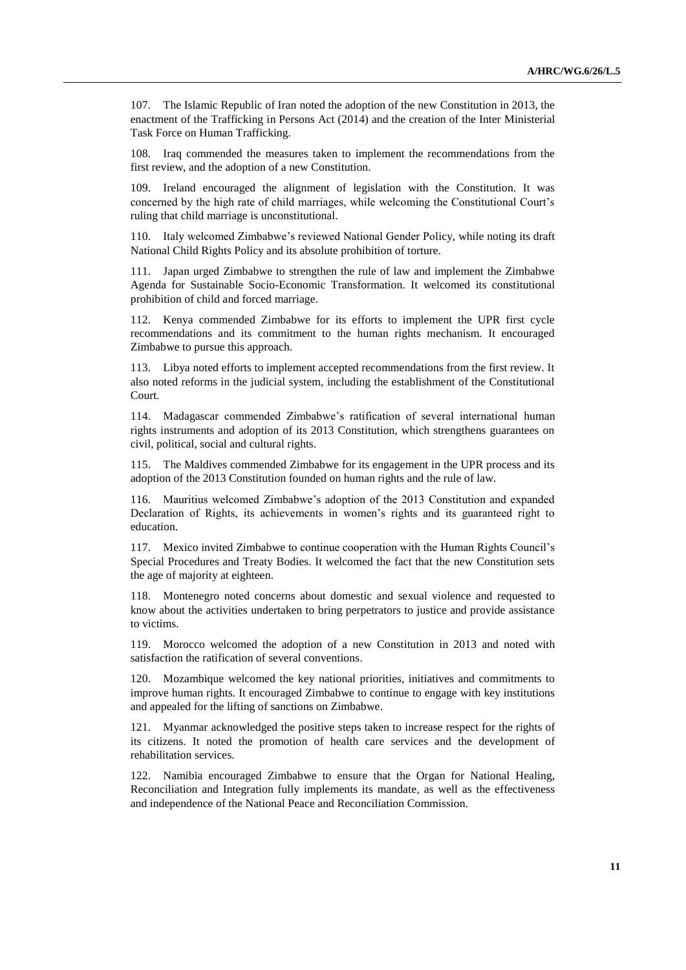107. The Islamic Republic of Iran noted the adoption of the new Constitution in 2013, the enactment of the Trafficking in Persons Act (2014) and the creation of the Inter Ministerial Task Force on Human Trafficking.

108. Iraq commended the measures taken to implement the recommendations from the first review, and the adoption of a new Constitution.

109. Ireland encouraged the alignment of legislation with the Constitution. It was concerned by the high rate of child marriages, while welcoming the Constitutional Court's ruling that child marriage is unconstitutional.

110. Italy welcomed Zimbabwe's reviewed National Gender Policy, while noting its draft National Child Rights Policy and its absolute prohibition of torture.

111. Japan urged Zimbabwe to strengthen the rule of law and implement the Zimbabwe Agenda for Sustainable Socio-Economic Transformation. It welcomed its constitutional prohibition of child and forced marriage.

112. Kenya commended Zimbabwe for its efforts to implement the UPR first cycle recommendations and its commitment to the human rights mechanism. It encouraged Zimbabwe to pursue this approach.

113. Libya noted efforts to implement accepted recommendations from the first review. It also noted reforms in the judicial system, including the establishment of the Constitutional Court.

114. Madagascar commended Zimbabwe's ratification of several international human rights instruments and adoption of its 2013 Constitution, which strengthens guarantees on civil, political, social and cultural rights.

115. The Maldives commended Zimbabwe for its engagement in the UPR process and its adoption of the 2013 Constitution founded on human rights and the rule of law.

116. Mauritius welcomed Zimbabwe's adoption of the 2013 Constitution and expanded Declaration of Rights, its achievements in women's rights and its guaranteed right to education.

117. Mexico invited Zimbabwe to continue cooperation with the Human Rights Council's Special Procedures and Treaty Bodies. It welcomed the fact that the new Constitution sets the age of majority at eighteen.

118. Montenegro noted concerns about domestic and sexual violence and requested to know about the activities undertaken to bring perpetrators to justice and provide assistance to victims.

119. Morocco welcomed the adoption of a new Constitution in 2013 and noted with satisfaction the ratification of several conventions.

120. Mozambique welcomed the key national priorities, initiatives and commitments to improve human rights. It encouraged Zimbabwe to continue to engage with key institutions and appealed for the lifting of sanctions on Zimbabwe.

121. Myanmar acknowledged the positive steps taken to increase respect for the rights of its citizens. It noted the promotion of health care services and the development of rehabilitation services.

122. Namibia encouraged Zimbabwe to ensure that the Organ for National Healing, Reconciliation and Integration fully implements its mandate, as well as the effectiveness and independence of the National Peace and Reconciliation Commission.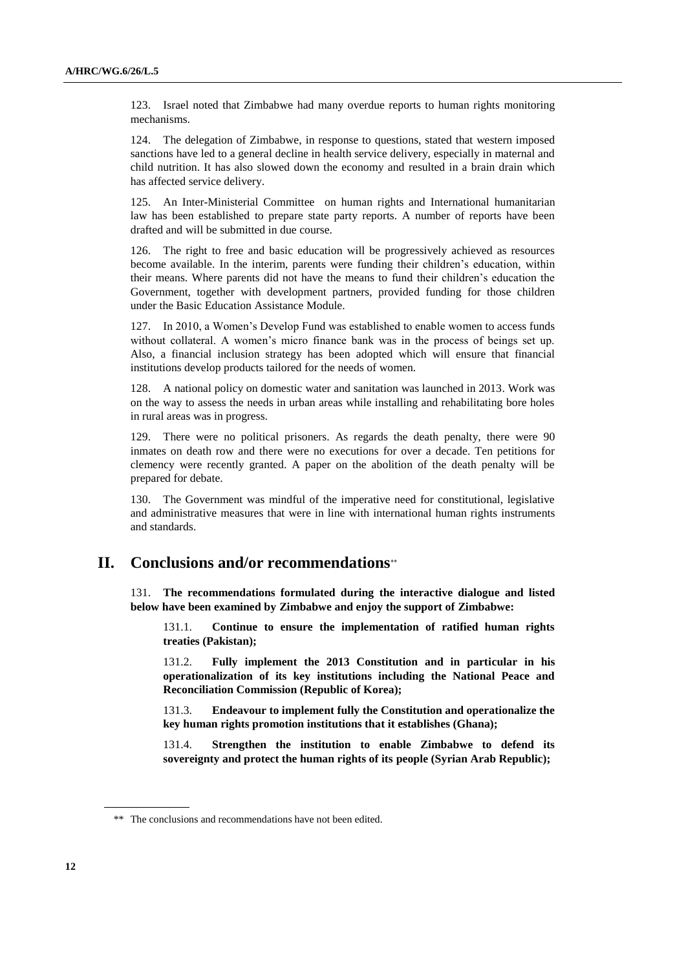123. Israel noted that Zimbabwe had many overdue reports to human rights monitoring mechanisms.

124. The delegation of Zimbabwe, in response to questions, stated that western imposed sanctions have led to a general decline in health service delivery, especially in maternal and child nutrition. It has also slowed down the economy and resulted in a brain drain which has affected service delivery.

125. An Inter-Ministerial Committee on human rights and International humanitarian law has been established to prepare state party reports. A number of reports have been drafted and will be submitted in due course.

126. The right to free and basic education will be progressively achieved as resources become available. In the interim, parents were funding their children's education, within their means. Where parents did not have the means to fund their children's education the Government, together with development partners, provided funding for those children under the Basic Education Assistance Module.

127. In 2010, a Women's Develop Fund was established to enable women to access funds without collateral. A women's micro finance bank was in the process of beings set up. Also, a financial inclusion strategy has been adopted which will ensure that financial institutions develop products tailored for the needs of women.

128. A national policy on domestic water and sanitation was launched in 2013. Work was on the way to assess the needs in urban areas while installing and rehabilitating bore holes in rural areas was in progress.

129. There were no political prisoners. As regards the death penalty, there were 90 inmates on death row and there were no executions for over a decade. Ten petitions for clemency were recently granted. A paper on the abolition of the death penalty will be prepared for debate.

130. The Government was mindful of the imperative need for constitutional, legislative and administrative measures that were in line with international human rights instruments and standards.

## **II. Conclusions and/or recommendations**

131. **The recommendations formulated during the interactive dialogue and listed below have been examined by Zimbabwe and enjoy the support of Zimbabwe:**

131.1. **Continue to ensure the implementation of ratified human rights treaties (Pakistan);**

131.2. **Fully implement the 2013 Constitution and in particular in his operationalization of its key institutions including the National Peace and Reconciliation Commission (Republic of Korea);** 

131.3. **Endeavour to implement fully the Constitution and operationalize the key human rights promotion institutions that it establishes (Ghana);**

131.4. **Strengthen the institution to enable Zimbabwe to defend its sovereignty and protect the human rights of its people (Syrian Arab Republic);**

<sup>\*\*</sup> The conclusions and recommendations have not been edited.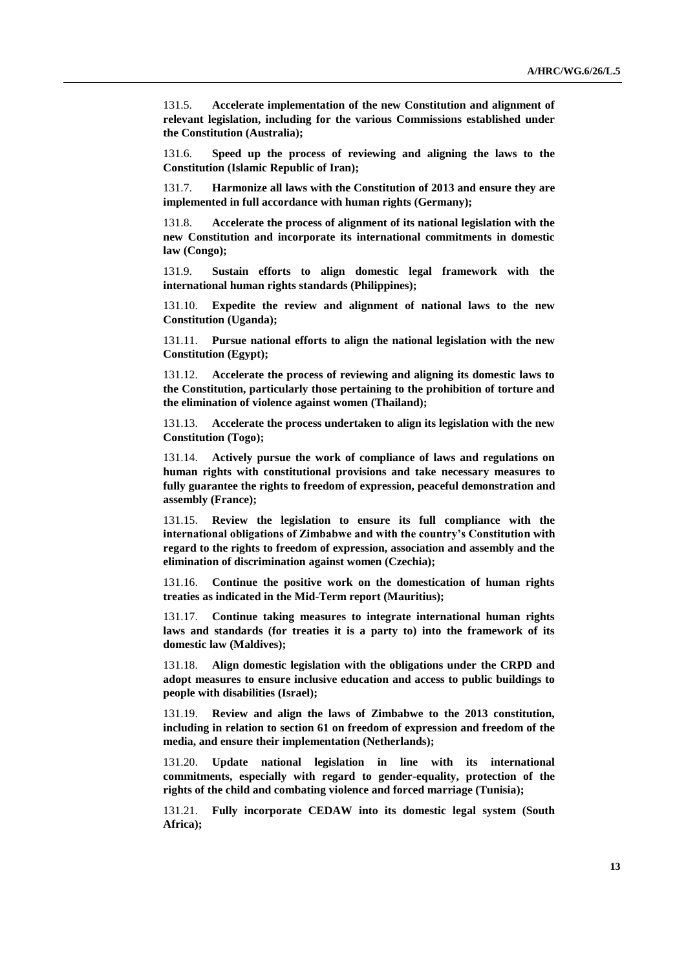131.5. **Accelerate implementation of the new Constitution and alignment of relevant legislation, including for the various Commissions established under the Constitution (Australia);** 

131.6. **Speed up the process of reviewing and aligning the laws to the Constitution (Islamic Republic of Iran);** 

131.7. **Harmonize all laws with the Constitution of 2013 and ensure they are implemented in full accordance with human rights (Germany);** 

131.8. **Accelerate the process of alignment of its national legislation with the new Constitution and incorporate its international commitments in domestic law (Congo);** 

131.9. **Sustain efforts to align domestic legal framework with the international human rights standards (Philippines);**

131.10. **Expedite the review and alignment of national laws to the new Constitution (Uganda);**

131.11. **Pursue national efforts to align the national legislation with the new Constitution (Egypt);**

131.12. **Accelerate the process of reviewing and aligning its domestic laws to the Constitution, particularly those pertaining to the prohibition of torture and the elimination of violence against women (Thailand);**

131.13. **Accelerate the process undertaken to align its legislation with the new Constitution (Togo);** 

131.14. **Actively pursue the work of compliance of laws and regulations on human rights with constitutional provisions and take necessary measures to fully guarantee the rights to freedom of expression, peaceful demonstration and assembly (France);** 

131.15. **Review the legislation to ensure its full compliance with the international obligations of Zimbabwe and with the country's Constitution with regard to the rights to freedom of expression, association and assembly and the elimination of discrimination against women (Czechia);** 

131.16. **Continue the positive work on the domestication of human rights treaties as indicated in the Mid-Term report (Mauritius);** 

131.17. **Continue taking measures to integrate international human rights laws and standards (for treaties it is a party to) into the framework of its domestic law (Maldives);** 

131.18. **Align domestic legislation with the obligations under the CRPD and adopt measures to ensure inclusive education and access to public buildings to people with disabilities (Israel);** 

131.19. **Review and align the laws of Zimbabwe to the 2013 constitution, including in relation to section 61 on freedom of expression and freedom of the media, and ensure their implementation (Netherlands);** 

131.20. **Update national legislation in line with its international commitments, especially with regard to gender-equality, protection of the rights of the child and combating violence and forced marriage (Tunisia);** 

131.21. **Fully incorporate CEDAW into its domestic legal system (South Africa);**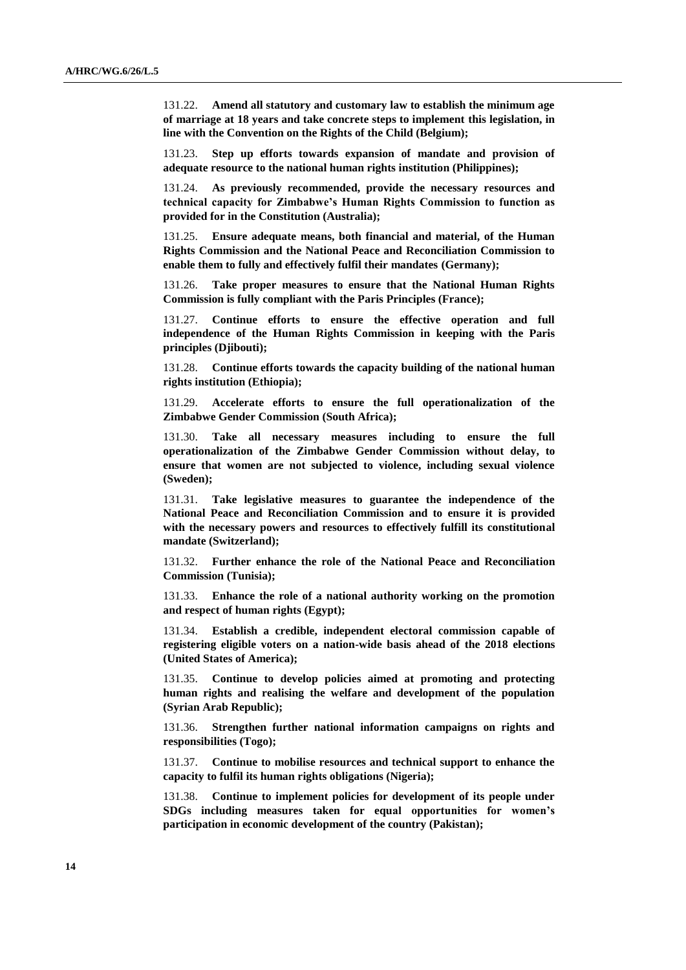131.22. **Amend all statutory and customary law to establish the minimum age of marriage at 18 years and take concrete steps to implement this legislation, in line with the Convention on the Rights of the Child (Belgium);**

131.23. **Step up efforts towards expansion of mandate and provision of adequate resource to the national human rights institution (Philippines);** 

131.24. **As previously recommended, provide the necessary resources and technical capacity for Zimbabwe's Human Rights Commission to function as provided for in the Constitution (Australia);** 

131.25. **Ensure adequate means, both financial and material, of the Human Rights Commission and the National Peace and Reconciliation Commission to enable them to fully and effectively fulfil their mandates (Germany);** 

131.26. **Take proper measures to ensure that the National Human Rights Commission is fully compliant with the Paris Principles (France);** 

131.27. **Continue efforts to ensure the effective operation and full independence of the Human Rights Commission in keeping with the Paris principles (Djibouti);**

131.28. **Continue efforts towards the capacity building of the national human rights institution (Ethiopia);**

131.29. **Accelerate efforts to ensure the full operationalization of the Zimbabwe Gender Commission (South Africa);** 

131.30. **Take all necessary measures including to ensure the full operationalization of the Zimbabwe Gender Commission without delay, to ensure that women are not subjected to violence, including sexual violence (Sweden);** 

131.31. **Take legislative measures to guarantee the independence of the National Peace and Reconciliation Commission and to ensure it is provided with the necessary powers and resources to effectively fulfill its constitutional mandate (Switzerland);** 

131.32. **Further enhance the role of the National Peace and Reconciliation Commission (Tunisia);** 

131.33. **Enhance the role of a national authority working on the promotion and respect of human rights (Egypt);** 

131.34. **Establish a credible, independent electoral commission capable of registering eligible voters on a nation-wide basis ahead of the 2018 elections (United States of America);** 

131.35. **Continue to develop policies aimed at promoting and protecting human rights and realising the welfare and development of the population (Syrian Arab Republic);** 

131.36. **Strengthen further national information campaigns on rights and responsibilities (Togo);** 

131.37. **Continue to mobilise resources and technical support to enhance the capacity to fulfil its human rights obligations (Nigeria);** 

131.38. **Continue to implement policies for development of its people under SDGs including measures taken for equal opportunities for women's participation in economic development of the country (Pakistan);**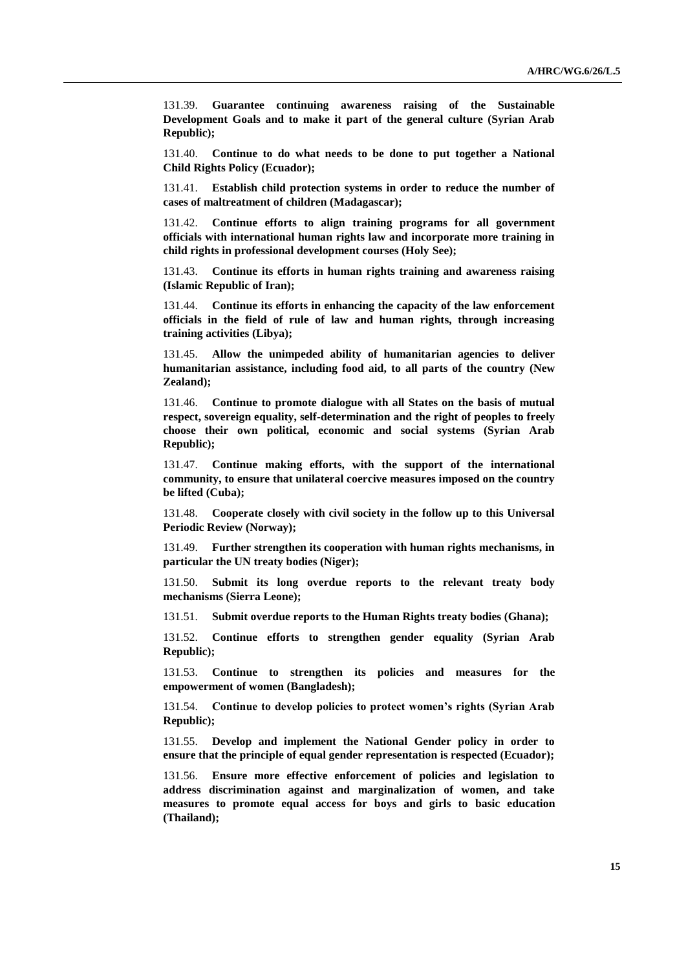131.39. **Guarantee continuing awareness raising of the Sustainable Development Goals and to make it part of the general culture (Syrian Arab Republic);** 

131.40. **Continue to do what needs to be done to put together a National Child Rights Policy (Ecuador);** 

131.41. **Establish child protection systems in order to reduce the number of cases of maltreatment of children (Madagascar);** 

131.42. **Continue efforts to align training programs for all government officials with international human rights law and incorporate more training in child rights in professional development courses (Holy See);** 

131.43. **Continue its efforts in human rights training and awareness raising (Islamic Republic of Iran);**

131.44. **Continue its efforts in enhancing the capacity of the law enforcement officials in the field of rule of law and human rights, through increasing training activities (Libya);** 

131.45. **Allow the unimpeded ability of humanitarian agencies to deliver humanitarian assistance, including food aid, to all parts of the country (New Zealand);** 

131.46. **Continue to promote dialogue with all States on the basis of mutual respect, sovereign equality, self-determination and the right of peoples to freely choose their own political, economic and social systems (Syrian Arab Republic);**

131.47. **Continue making efforts, with the support of the international community, to ensure that unilateral coercive measures imposed on the country be lifted (Cuba);** 

131.48. **Cooperate closely with civil society in the follow up to this Universal Periodic Review (Norway);** 

131.49. **Further strengthen its cooperation with human rights mechanisms, in particular the UN treaty bodies (Niger);** 

131.50. **Submit its long overdue reports to the relevant treaty body mechanisms (Sierra Leone);** 

131.51. **Submit overdue reports to the Human Rights treaty bodies (Ghana);** 

131.52. **Continue efforts to strengthen gender equality (Syrian Arab Republic);**

131.53. **Continue to strengthen its policies and measures for the empowerment of women (Bangladesh);** 

131.54. **Continue to develop policies to protect women's rights (Syrian Arab Republic);** 

131.55. **Develop and implement the National Gender policy in order to ensure that the principle of equal gender representation is respected (Ecuador);**

131.56. **Ensure more effective enforcement of policies and legislation to address discrimination against and marginalization of women, and take measures to promote equal access for boys and girls to basic education (Thailand);**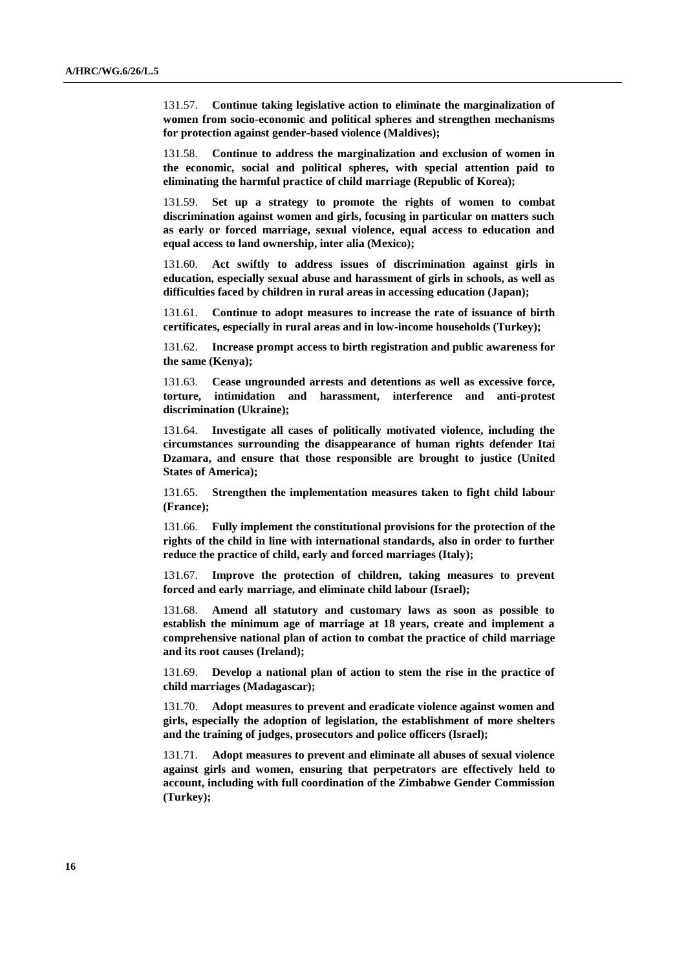131.57. **Continue taking legislative action to eliminate the marginalization of women from socio-economic and political spheres and strengthen mechanisms for protection against gender-based violence (Maldives);** 

131.58. **Continue to address the marginalization and exclusion of women in the economic, social and political spheres, with special attention paid to eliminating the harmful practice of child marriage (Republic of Korea);** 

131.59. **Set up a strategy to promote the rights of women to combat discrimination against women and girls, focusing in particular on matters such as early or forced marriage, sexual violence, equal access to education and equal access to land ownership, inter alia (Mexico);** 

131.60. **Act swiftly to address issues of discrimination against girls in education, especially sexual abuse and harassment of girls in schools, as well as difficulties faced by children in rural areas in accessing education (Japan);** 

131.61. **Continue to adopt measures to increase the rate of issuance of birth certificates, especially in rural areas and in low-income households (Turkey);** 

131.62. **Increase prompt access to birth registration and public awareness for the same (Kenya);** 

131.63. **Cease ungrounded arrests and detentions as well as excessive force, torture, intimidation and harassment, interference and anti-protest discrimination (Ukraine);** 

131.64. **Investigate all cases of politically motivated violence, including the circumstances surrounding the disappearance of human rights defender Itai Dzamara, and ensure that those responsible are brought to justice (United States of America);** 

131.65. **Strengthen the implementation measures taken to fight child labour (France);** 

131.66. **Fully implement the constitutional provisions for the protection of the rights of the child in line with international standards, also in order to further reduce the practice of child, early and forced marriages (Italy);** 

131.67. **Improve the protection of children, taking measures to prevent forced and early marriage, and eliminate child labour (Israel);** 

131.68. **Amend all statutory and customary laws as soon as possible to establish the minimum age of marriage at 18 years, create and implement a comprehensive national plan of action to combat the practice of child marriage and its root causes (Ireland);** 

131.69. **Develop a national plan of action to stem the rise in the practice of child marriages (Madagascar);**

131.70. **Adopt measures to prevent and eradicate violence against women and girls, especially the adoption of legislation, the establishment of more shelters and the training of judges, prosecutors and police officers (Israel);** 

131.71. **Adopt measures to prevent and eliminate all abuses of sexual violence against girls and women, ensuring that perpetrators are effectively held to account, including with full coordination of the Zimbabwe Gender Commission (Turkey);**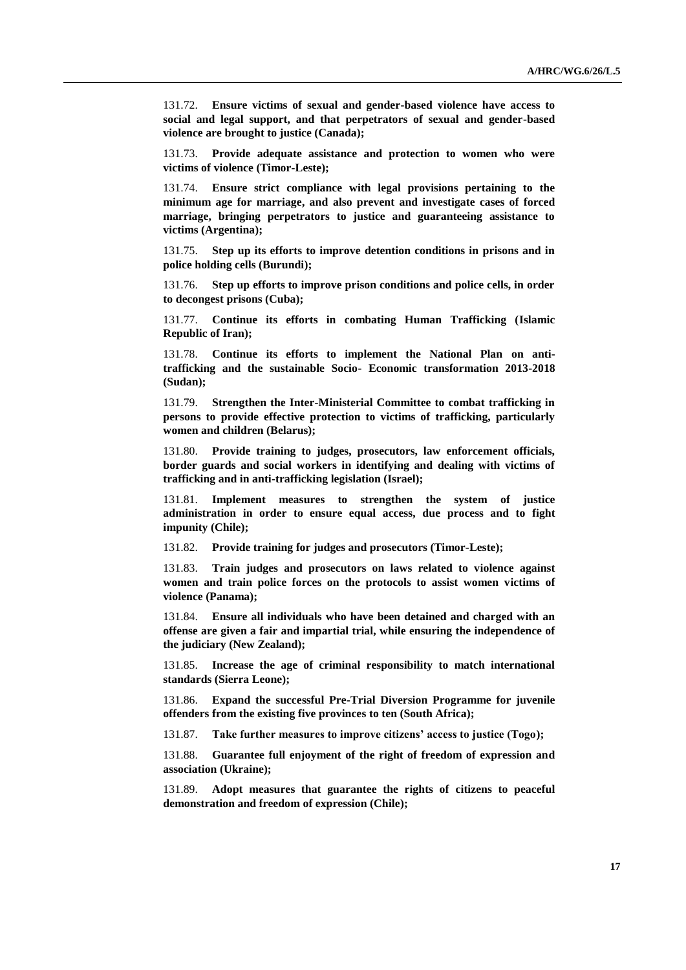131.72. **Ensure victims of sexual and gender-based violence have access to social and legal support, and that perpetrators of sexual and gender-based violence are brought to justice (Canada);** 

131.73. **Provide adequate assistance and protection to women who were victims of violence (Timor-Leste);** 

131.74. **Ensure strict compliance with legal provisions pertaining to the minimum age for marriage, and also prevent and investigate cases of forced marriage, bringing perpetrators to justice and guaranteeing assistance to victims (Argentina);** 

131.75. **Step up its efforts to improve detention conditions in prisons and in police holding cells (Burundi);** 

131.76. **Step up efforts to improve prison conditions and police cells, in order to decongest prisons (Cuba);** 

131.77. **Continue its efforts in combating Human Trafficking (Islamic Republic of Iran);** 

131.78. **Continue its efforts to implement the National Plan on antitrafficking and the sustainable Socio- Economic transformation 2013-2018 (Sudan);**

131.79. **Strengthen the Inter-Ministerial Committee to combat trafficking in persons to provide effective protection to victims of trafficking, particularly women and children (Belarus);** 

131.80. **Provide training to judges, prosecutors, law enforcement officials, border guards and social workers in identifying and dealing with victims of trafficking and in anti-trafficking legislation (Israel);** 

131.81. **Implement measures to strengthen the system of justice administration in order to ensure equal access, due process and to fight impunity (Chile);** 

131.82. **Provide training for judges and prosecutors (Timor-Leste);** 

131.83. **Train judges and prosecutors on laws related to violence against women and train police forces on the protocols to assist women victims of violence (Panama);** 

131.84. **Ensure all individuals who have been detained and charged with an offense are given a fair and impartial trial, while ensuring the independence of the judiciary (New Zealand);** 

131.85. **Increase the age of criminal responsibility to match international standards (Sierra Leone);** 

131.86. **Expand the successful Pre-Trial Diversion Programme for juvenile offenders from the existing five provinces to ten (South Africa);**

131.87. **Take further measures to improve citizens' access to justice (Togo);** 

131.88. **Guarantee full enjoyment of the right of freedom of expression and association (Ukraine);** 

131.89. **Adopt measures that guarantee the rights of citizens to peaceful demonstration and freedom of expression (Chile);**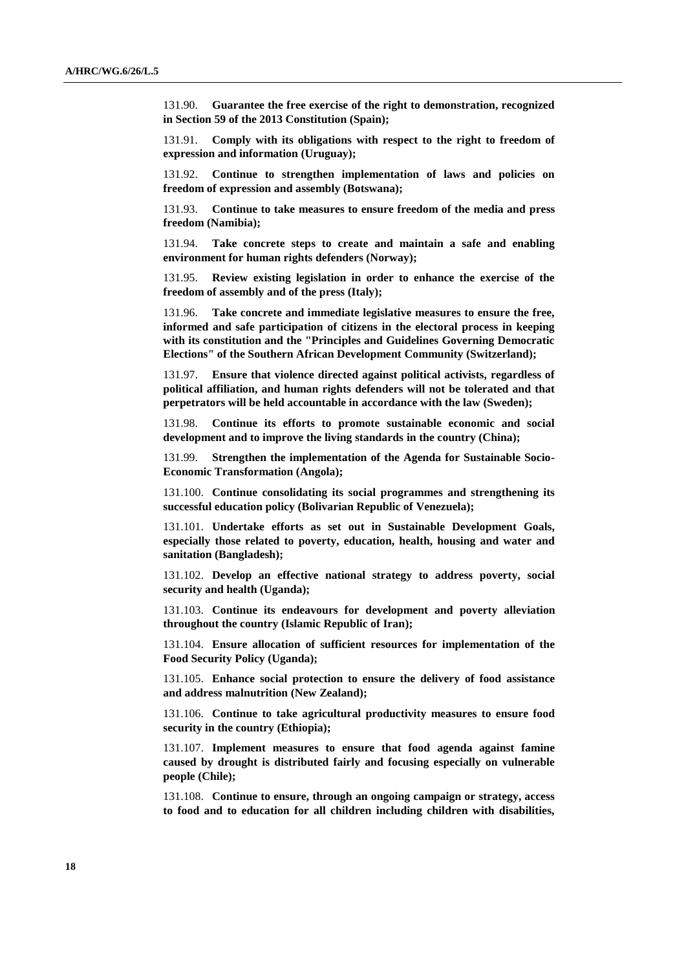131.90. **Guarantee the free exercise of the right to demonstration, recognized in Section 59 of the 2013 Constitution (Spain);** 

131.91. **Comply with its obligations with respect to the right to freedom of expression and information (Uruguay);** 

131.92. **Continue to strengthen implementation of laws and policies on freedom of expression and assembly (Botswana);** 

131.93. **Continue to take measures to ensure freedom of the media and press freedom (Namibia);** 

131.94. **Take concrete steps to create and maintain a safe and enabling environment for human rights defenders (Norway);** 

131.95. **Review existing legislation in order to enhance the exercise of the freedom of assembly and of the press (Italy);**

131.96. **Take concrete and immediate legislative measures to ensure the free, informed and safe participation of citizens in the electoral process in keeping with its constitution and the "Principles and Guidelines Governing Democratic Elections" of the Southern African Development Community (Switzerland);** 

131.97. **Ensure that violence directed against political activists, regardless of political affiliation, and human rights defenders will not be tolerated and that perpetrators will be held accountable in accordance with the law (Sweden);** 

131.98. **Continue its efforts to promote sustainable economic and social development and to improve the living standards in the country (China);** 

131.99. **Strengthen the implementation of the Agenda for Sustainable Socio-Economic Transformation (Angola);** 

131.100. **Continue consolidating its social programmes and strengthening its successful education policy (Bolivarian Republic of Venezuela);**

131.101. **Undertake efforts as set out in Sustainable Development Goals, especially those related to poverty, education, health, housing and water and sanitation (Bangladesh);** 

131.102. **Develop an effective national strategy to address poverty, social security and health (Uganda);** 

131.103. **Continue its endeavours for development and poverty alleviation throughout the country (Islamic Republic of Iran);** 

131.104. **Ensure allocation of sufficient resources for implementation of the Food Security Policy (Uganda);** 

131.105. **Enhance social protection to ensure the delivery of food assistance and address malnutrition (New Zealand);** 

131.106. **Continue to take agricultural productivity measures to ensure food security in the country (Ethiopia);**

131.107. **Implement measures to ensure that food agenda against famine caused by drought is distributed fairly and focusing especially on vulnerable people (Chile);** 

131.108. **Continue to ensure, through an ongoing campaign or strategy, access to food and to education for all children including children with disabilities,**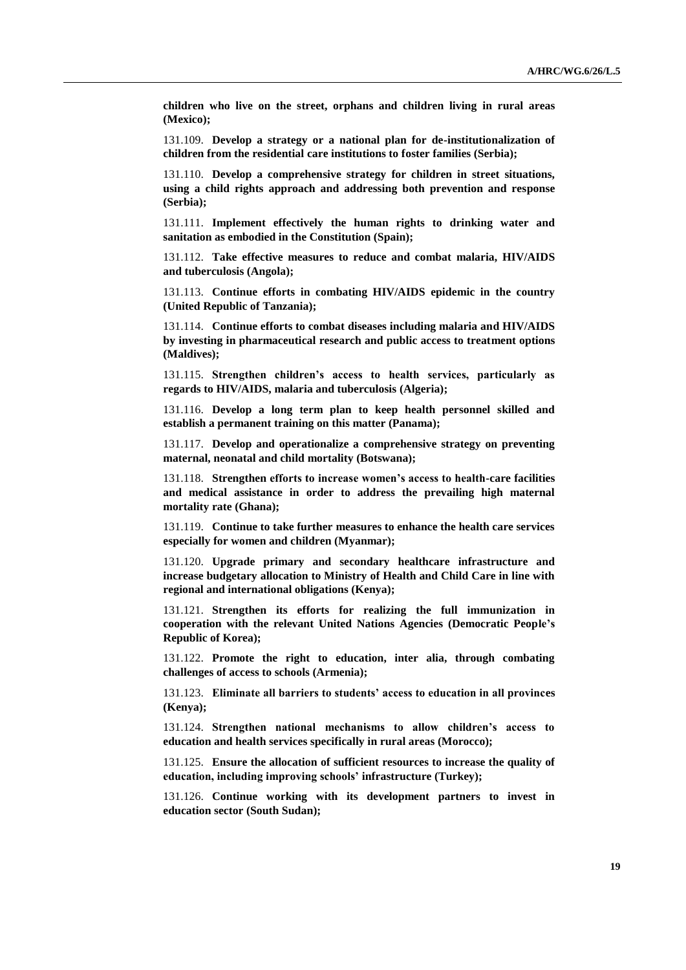**children who live on the street, orphans and children living in rural areas (Mexico);**

131.109. **Develop a strategy or a national plan for de-institutionalization of children from the residential care institutions to foster families (Serbia);**

131.110. **Develop a comprehensive strategy for children in street situations, using a child rights approach and addressing both prevention and response (Serbia);**

131.111. **Implement effectively the human rights to drinking water and sanitation as embodied in the Constitution (Spain);** 

131.112. **Take effective measures to reduce and combat malaria, HIV/AIDS and tuberculosis (Angola);** 

131.113. **Continue efforts in combating HIV/AIDS epidemic in the country (United Republic of Tanzania);** 

131.114. **Continue efforts to combat diseases including malaria and HIV/AIDS by investing in pharmaceutical research and public access to treatment options (Maldives);** 

131.115. **Strengthen children's access to health services, particularly as regards to HIV/AIDS, malaria and tuberculosis (Algeria);** 

131.116. **Develop a long term plan to keep health personnel skilled and establish a permanent training on this matter (Panama);** 

131.117. **Develop and operationalize a comprehensive strategy on preventing maternal, neonatal and child mortality (Botswana);** 

131.118. **Strengthen efforts to increase women's access to health-care facilities and medical assistance in order to address the prevailing high maternal mortality rate (Ghana);** 

131.119. **Continue to take further measures to enhance the health care services especially for women and children (Myanmar);** 

131.120. **Upgrade primary and secondary healthcare infrastructure and increase budgetary allocation to Ministry of Health and Child Care in line with regional and international obligations (Kenya);** 

131.121. **Strengthen its efforts for realizing the full immunization in cooperation with the relevant United Nations Agencies (Democratic People's Republic of Korea);**

131.122. **Promote the right to education, inter alia, through combating challenges of access to schools (Armenia);** 

131.123. **Eliminate all barriers to students' access to education in all provinces (Kenya);**

131.124. **Strengthen national mechanisms to allow children's access to education and health services specifically in rural areas (Morocco);** 

131.125. **Ensure the allocation of sufficient resources to increase the quality of education, including improving schools' infrastructure (Turkey);** 

131.126. **Continue working with its development partners to invest in education sector (South Sudan);**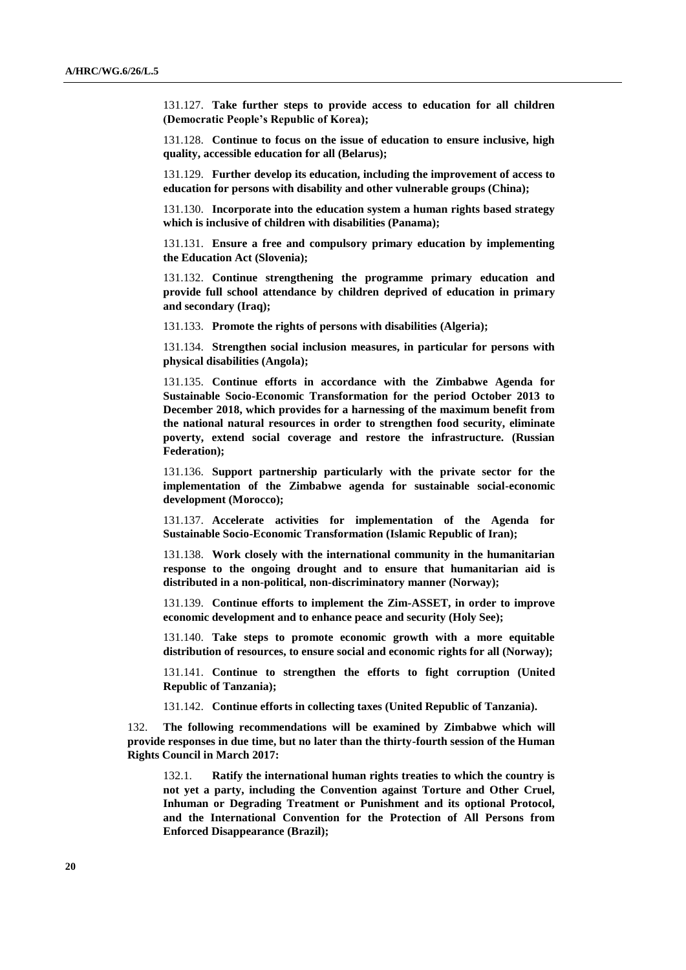131.127. **Take further steps to provide access to education for all children (Democratic People's Republic of Korea);** 

131.128. **Continue to focus on the issue of education to ensure inclusive, high quality, accessible education for all (Belarus);** 

131.129. **Further develop its education, including the improvement of access to education for persons with disability and other vulnerable groups (China);** 

131.130. **Incorporate into the education system a human rights based strategy which is inclusive of children with disabilities (Panama);** 

131.131. **Ensure a free and compulsory primary education by implementing the Education Act (Slovenia);** 

131.132. **Continue strengthening the programme primary education and provide full school attendance by children deprived of education in primary and secondary (Iraq);** 

131.133. **Promote the rights of persons with disabilities (Algeria);** 

131.134. **Strengthen social inclusion measures, in particular for persons with physical disabilities (Angola);** 

131.135. **Continue efforts in accordance with the Zimbabwe Agenda for Sustainable Socio-Economic Transformation for the period October 2013 to December 2018, which provides for a harnessing of the maximum benefit from the national natural resources in order to strengthen food security, eliminate poverty, extend social coverage and restore the infrastructure. (Russian Federation);** 

131.136. **Support partnership particularly with the private sector for the implementation of the Zimbabwe agenda for sustainable social-economic development (Morocco);** 

131.137. **Accelerate activities for implementation of the Agenda for Sustainable Socio-Economic Transformation (Islamic Republic of Iran);** 

131.138. **Work closely with the international community in the humanitarian response to the ongoing drought and to ensure that humanitarian aid is distributed in a non-political, non-discriminatory manner (Norway);** 

131.139. **Continue efforts to implement the Zim-ASSET, in order to improve economic development and to enhance peace and security (Holy See);** 

131.140. **Take steps to promote economic growth with a more equitable distribution of resources, to ensure social and economic rights for all (Norway);**

131.141. **Continue to strengthen the efforts to fight corruption (United Republic of Tanzania);**

131.142. **Continue efforts in collecting taxes (United Republic of Tanzania).**

132. **The following recommendations will be examined by Zimbabwe which will provide responses in due time, but no later than the thirty-fourth session of the Human Rights Council in March 2017:**

132.1. **Ratify the international human rights treaties to which the country is not yet a party, including the Convention against Torture and Other Cruel, Inhuman or Degrading Treatment or Punishment and its optional Protocol, and the International Convention for the Protection of All Persons from Enforced Disappearance (Brazil);**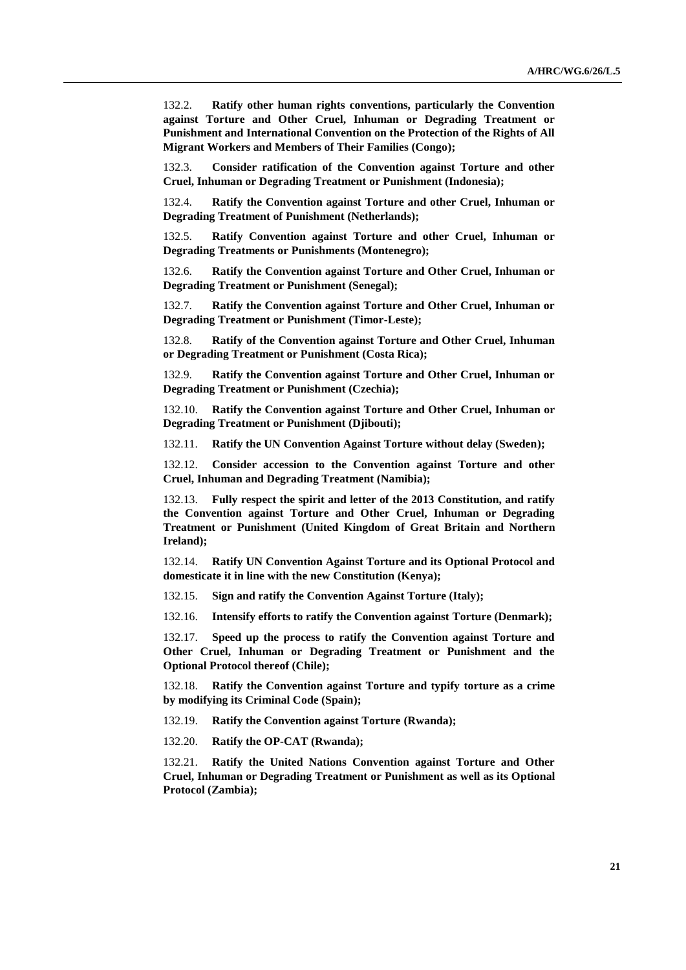132.2. **Ratify other human rights conventions, particularly the Convention against Torture and Other Cruel, Inhuman or Degrading Treatment or Punishment and International Convention on the Protection of the Rights of All Migrant Workers and Members of Their Families (Congo);** 

132.3. **Consider ratification of the Convention against Torture and other Cruel, Inhuman or Degrading Treatment or Punishment (Indonesia);** 

132.4. **Ratify the Convention against Torture and other Cruel, Inhuman or Degrading Treatment of Punishment (Netherlands);** 

132.5. **Ratify Convention against Torture and other Cruel, Inhuman or Degrading Treatments or Punishments (Montenegro);** 

132.6. **Ratify the Convention against Torture and Other Cruel, Inhuman or Degrading Treatment or Punishment (Senegal);**

132.7. **Ratify the Convention against Torture and Other Cruel, Inhuman or Degrading Treatment or Punishment (Timor-Leste);** 

132.8. **Ratify of the Convention against Torture and Other Cruel, Inhuman or Degrading Treatment or Punishment (Costa Rica);** 

132.9. **Ratify the Convention against Torture and Other Cruel, Inhuman or Degrading Treatment or Punishment (Czechia);** 

132.10. **Ratify the Convention against Torture and Other Cruel, Inhuman or Degrading Treatment or Punishment (Djibouti);** 

132.11. **Ratify the UN Convention Against Torture without delay (Sweden);** 

132.12. **Consider accession to the Convention against Torture and other Cruel, Inhuman and Degrading Treatment (Namibia);** 

132.13. **Fully respect the spirit and letter of the 2013 Constitution, and ratify the Convention against Torture and Other Cruel, Inhuman or Degrading Treatment or Punishment (United Kingdom of Great Britain and Northern Ireland);** 

132.14. **Ratify UN Convention Against Torture and its Optional Protocol and domesticate it in line with the new Constitution (Kenya);** 

132.15. **Sign and ratify the Convention Against Torture (Italy);** 

132.16. **Intensify efforts to ratify the Convention against Torture (Denmark);**

132.17. **Speed up the process to ratify the Convention against Torture and Other Cruel, Inhuman or Degrading Treatment or Punishment and the Optional Protocol thereof (Chile);** 

132.18. **Ratify the Convention against Torture and typify torture as a crime by modifying its Criminal Code (Spain);** 

132.19. **Ratify the Convention against Torture (Rwanda);** 

132.20. **Ratify the OP-CAT (Rwanda);**

132.21. **Ratify the United Nations Convention against Torture and Other Cruel, Inhuman or Degrading Treatment or Punishment as well as its Optional Protocol (Zambia);**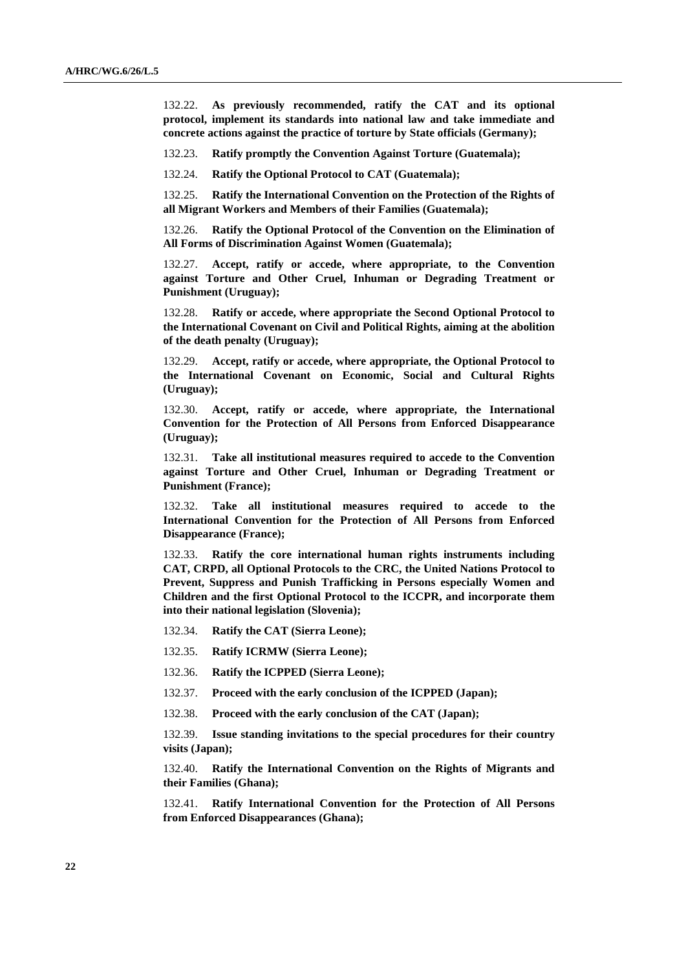132.22. **As previously recommended, ratify the CAT and its optional protocol, implement its standards into national law and take immediate and concrete actions against the practice of torture by State officials (Germany);** 

132.23. **Ratify promptly the Convention Against Torture (Guatemala);** 

132.24. **Ratify the Optional Protocol to CAT (Guatemala);**

132.25. **Ratify the International Convention on the Protection of the Rights of all Migrant Workers and Members of their Families (Guatemala);** 

132.26. **Ratify the Optional Protocol of the Convention on the Elimination of All Forms of Discrimination Against Women (Guatemala);**

132.27. **Accept, ratify or accede, where appropriate, to the Convention against Torture and Other Cruel, Inhuman or Degrading Treatment or Punishment (Uruguay);**

132.28. **Ratify or accede, where appropriate the Second Optional Protocol to the International Covenant on Civil and Political Rights, aiming at the abolition of the death penalty (Uruguay);**

132.29. **Accept, ratify or accede, where appropriate, the Optional Protocol to the International Covenant on Economic, Social and Cultural Rights (Uruguay);**

132.30. **Accept, ratify or accede, where appropriate, the International Convention for the Protection of All Persons from Enforced Disappearance (Uruguay);**

132.31. **Take all institutional measures required to accede to the Convention against Torture and Other Cruel, Inhuman or Degrading Treatment or Punishment (France);** 

132.32. **Take all institutional measures required to accede to the International Convention for the Protection of All Persons from Enforced Disappearance (France);** 

132.33. **Ratify the core international human rights instruments including CAT, CRPD, all Optional Protocols to the CRC, the United Nations Protocol to Prevent, Suppress and Punish Trafficking in Persons especially Women and Children and the first Optional Protocol to the ICCPR, and incorporate them into their national legislation (Slovenia);** 

- 132.34. **Ratify the CAT (Sierra Leone);**
- 132.35. **Ratify ICRMW (Sierra Leone);**
- 132.36. **Ratify the ICPPED (Sierra Leone);**
- 132.37. **Proceed with the early conclusion of the ICPPED (Japan);**
- 132.38. **Proceed with the early conclusion of the CAT (Japan);**

132.39. **Issue standing invitations to the special procedures for their country visits (Japan);** 

132.40. **Ratify the International Convention on the Rights of Migrants and their Families (Ghana);**

132.41. **Ratify International Convention for the Protection of All Persons from Enforced Disappearances (Ghana);**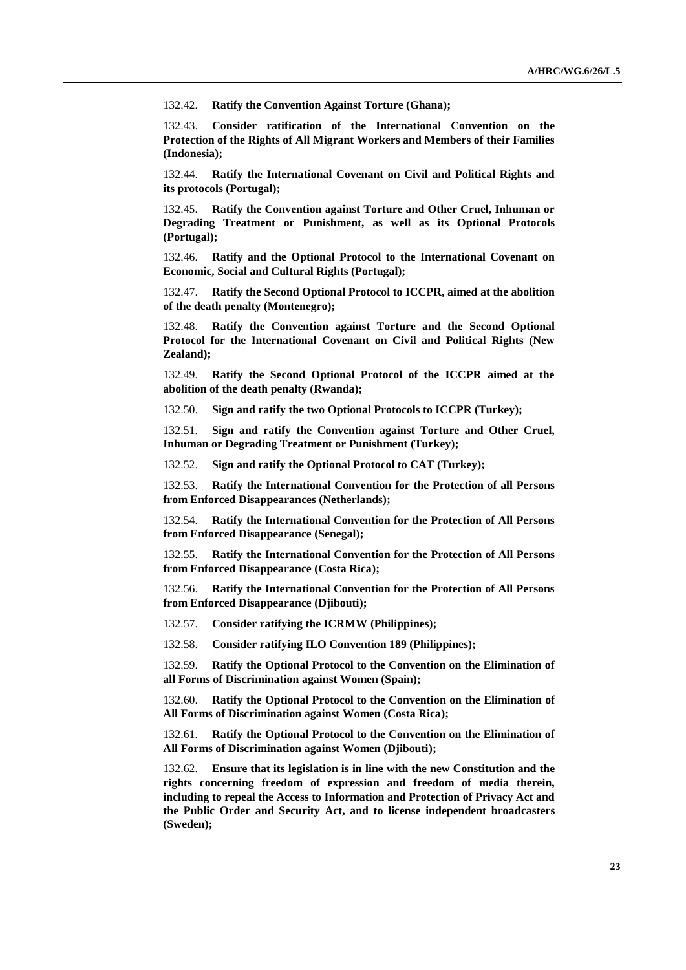132.42. **Ratify the Convention Against Torture (Ghana);**

132.43. **Consider ratification of the International Convention on the Protection of the Rights of All Migrant Workers and Members of their Families (Indonesia);** 

132.44. **Ratify the International Covenant on Civil and Political Rights and its protocols (Portugal);**

132.45. **Ratify the Convention against Torture and Other Cruel, Inhuman or Degrading Treatment or Punishment, as well as its Optional Protocols (Portugal);** 

132.46. **Ratify and the Optional Protocol to the International Covenant on Economic, Social and Cultural Rights (Portugal);**

132.47. **Ratify the Second Optional Protocol to ICCPR, aimed at the abolition of the death penalty (Montenegro);**

132.48. **Ratify the Convention against Torture and the Second Optional Protocol for the International Covenant on Civil and Political Rights (New Zealand);**

132.49. **Ratify the Second Optional Protocol of the ICCPR aimed at the abolition of the death penalty (Rwanda);**

132.50. **Sign and ratify the two Optional Protocols to ICCPR (Turkey);**

132.51. **Sign and ratify the Convention against Torture and Other Cruel, Inhuman or Degrading Treatment or Punishment (Turkey);** 

132.52. **Sign and ratify the Optional Protocol to CAT (Turkey);**

132.53. **Ratify the International Convention for the Protection of all Persons from Enforced Disappearances (Netherlands);** 

132.54. **Ratify the International Convention for the Protection of All Persons from Enforced Disappearance (Senegal);** 

132.55. **Ratify the International Convention for the Protection of All Persons from Enforced Disappearance (Costa Rica);** 

132.56. **Ratify the International Convention for the Protection of All Persons from Enforced Disappearance (Djibouti);** 

132.57. **Consider ratifying the ICRMW (Philippines);**

132.58. **Consider ratifying ILO Convention 189 (Philippines);**

132.59. **Ratify the Optional Protocol to the Convention on the Elimination of all Forms of Discrimination against Women (Spain);**

132.60. **Ratify the Optional Protocol to the Convention on the Elimination of All Forms of Discrimination against Women (Costa Rica);** 

132.61. **Ratify the Optional Protocol to the Convention on the Elimination of All Forms of Discrimination against Women (Djibouti);** 

132.62. **Ensure that its legislation is in line with the new Constitution and the rights concerning freedom of expression and freedom of media therein, including to repeal the Access to Information and Protection of Privacy Act and the Public Order and Security Act, and to license independent broadcasters (Sweden);**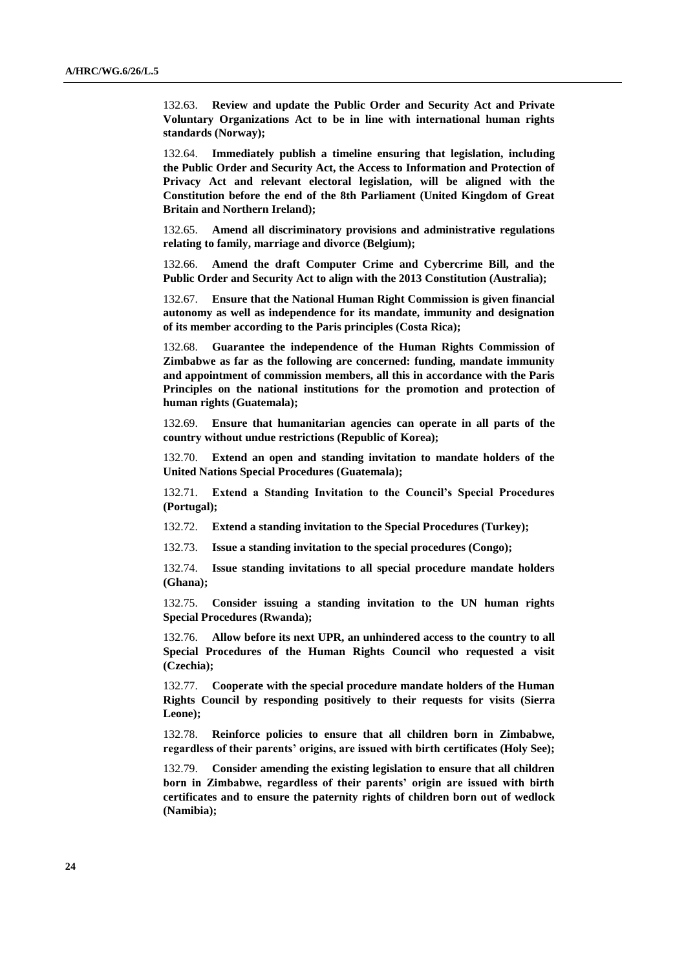132.63. **Review and update the Public Order and Security Act and Private Voluntary Organizations Act to be in line with international human rights standards (Norway);**

132.64. **Immediately publish a timeline ensuring that legislation, including the Public Order and Security Act, the Access to Information and Protection of Privacy Act and relevant electoral legislation, will be aligned with the Constitution before the end of the 8th Parliament (United Kingdom of Great Britain and Northern Ireland);**

132.65. **Amend all discriminatory provisions and administrative regulations relating to family, marriage and divorce (Belgium);**

132.66. **Amend the draft Computer Crime and Cybercrime Bill, and the Public Order and Security Act to align with the 2013 Constitution (Australia);** 

132.67. **Ensure that the National Human Right Commission is given financial autonomy as well as independence for its mandate, immunity and designation of its member according to the Paris principles (Costa Rica);**

132.68. **Guarantee the independence of the Human Rights Commission of Zimbabwe as far as the following are concerned: funding, mandate immunity and appointment of commission members, all this in accordance with the Paris Principles on the national institutions for the promotion and protection of human rights (Guatemala);**

132.69. **Ensure that humanitarian agencies can operate in all parts of the country without undue restrictions (Republic of Korea);**

132.70. **Extend an open and standing invitation to mandate holders of the United Nations Special Procedures (Guatemala);** 

132.71. **Extend a Standing Invitation to the Council's Special Procedures (Portugal);**

132.72. **Extend a standing invitation to the Special Procedures (Turkey);**

132.73. **Issue a standing invitation to the special procedures (Congo);** 

132.74. **Issue standing invitations to all special procedure mandate holders (Ghana);** 

132.75. **Consider issuing a standing invitation to the UN human rights Special Procedures (Rwanda);** 

132.76. **Allow before its next UPR, an unhindered access to the country to all Special Procedures of the Human Rights Council who requested a visit (Czechia);**

132.77. **Cooperate with the special procedure mandate holders of the Human Rights Council by responding positively to their requests for visits (Sierra Leone);**

132.78. **Reinforce policies to ensure that all children born in Zimbabwe, regardless of their parents' origins, are issued with birth certificates (Holy See);** 

132.79. **Consider amending the existing legislation to ensure that all children born in Zimbabwe, regardless of their parents' origin are issued with birth certificates and to ensure the paternity rights of children born out of wedlock (Namibia);**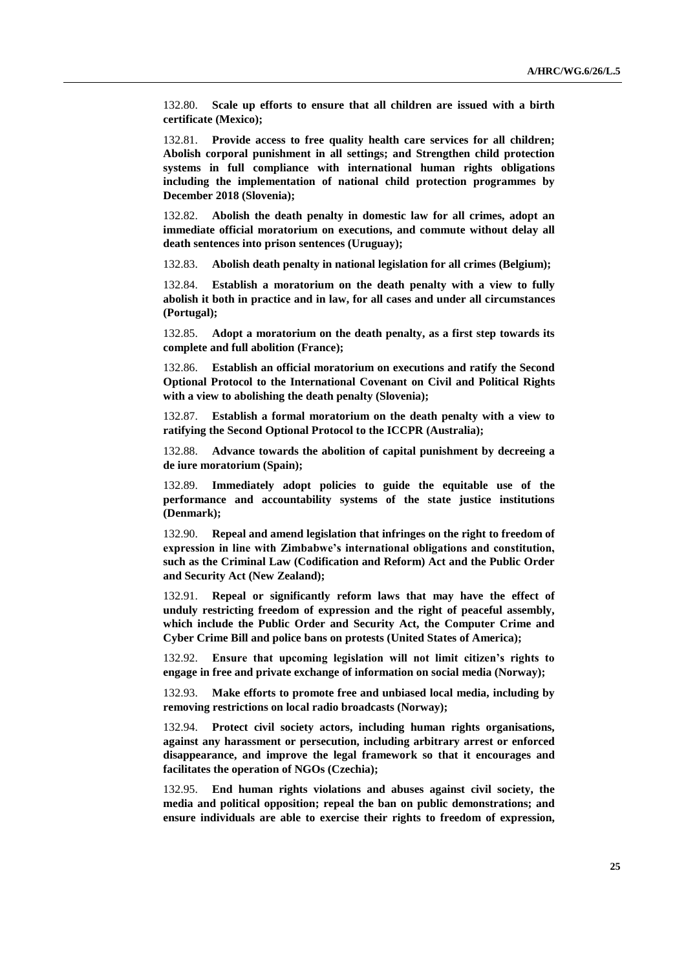132.80. **Scale up efforts to ensure that all children are issued with a birth certificate (Mexico);**

132.81. **Provide access to free quality health care services for all children; Abolish corporal punishment in all settings; and Strengthen child protection systems in full compliance with international human rights obligations including the implementation of national child protection programmes by December 2018 (Slovenia);**

132.82. **Abolish the death penalty in domestic law for all crimes, adopt an immediate official moratorium on executions, and commute without delay all death sentences into prison sentences (Uruguay);** 

132.83. **Abolish death penalty in national legislation for all crimes (Belgium);** 

132.84. **Establish a moratorium on the death penalty with a view to fully abolish it both in practice and in law, for all cases and under all circumstances (Portugal);** 

132.85. **Adopt a moratorium on the death penalty, as a first step towards its complete and full abolition (France);** 

132.86. **Establish an official moratorium on executions and ratify the Second Optional Protocol to the International Covenant on Civil and Political Rights with a view to abolishing the death penalty (Slovenia);** 

132.87. **Establish a formal moratorium on the death penalty with a view to ratifying the Second Optional Protocol to the ICCPR (Australia);** 

132.88. **Advance towards the abolition of capital punishment by decreeing a de iure moratorium (Spain);** 

132.89. **Immediately adopt policies to guide the equitable use of the performance and accountability systems of the state justice institutions (Denmark);** 

132.90. **Repeal and amend legislation that infringes on the right to freedom of expression in line with Zimbabwe's international obligations and constitution, such as the Criminal Law (Codification and Reform) Act and the Public Order and Security Act (New Zealand);** 

132.91. **Repeal or significantly reform laws that may have the effect of unduly restricting freedom of expression and the right of peaceful assembly, which include the Public Order and Security Act, the Computer Crime and Cyber Crime Bill and police bans on protests (United States of America);** 

132.92. **Ensure that upcoming legislation will not limit citizen's rights to engage in free and private exchange of information on social media (Norway);**

132.93. **Make efforts to promote free and unbiased local media, including by removing restrictions on local radio broadcasts (Norway);**

132.94. **Protect civil society actors, including human rights organisations, against any harassment or persecution, including arbitrary arrest or enforced disappearance, and improve the legal framework so that it encourages and facilitates the operation of NGOs (Czechia);**

132.95. **End human rights violations and abuses against civil society, the media and political opposition; repeal the ban on public demonstrations; and ensure individuals are able to exercise their rights to freedom of expression,**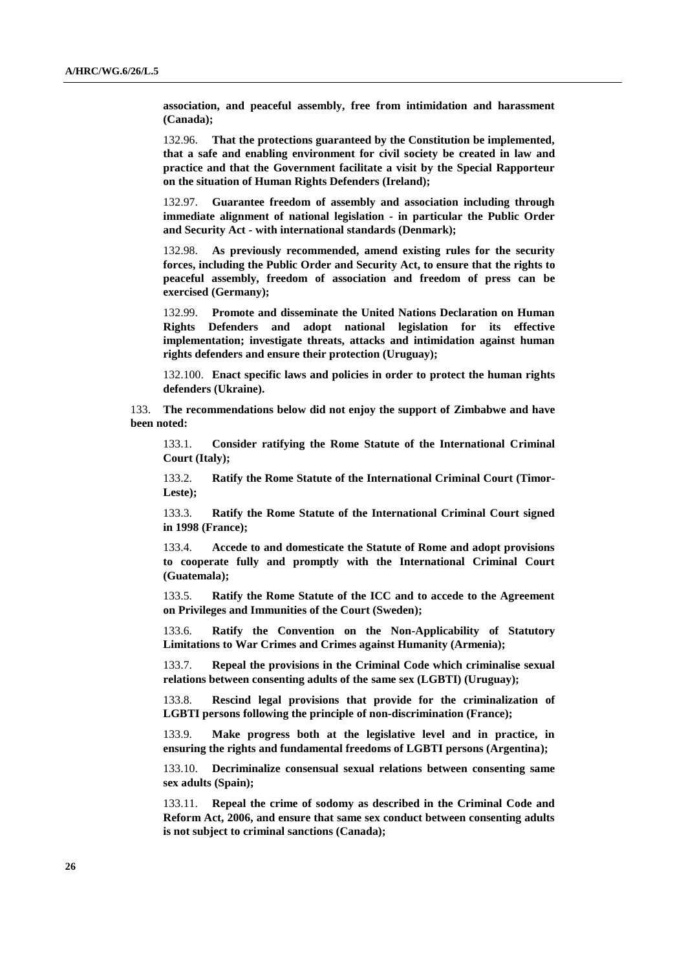**association, and peaceful assembly, free from intimidation and harassment (Canada);** 

132.96. **That the protections guaranteed by the Constitution be implemented, that a safe and enabling environment for civil society be created in law and practice and that the Government facilitate a visit by the Special Rapporteur on the situation of Human Rights Defenders (Ireland);** 

132.97. **Guarantee freedom of assembly and association including through immediate alignment of national legislation - in particular the Public Order and Security Act - with international standards (Denmark);** 

132.98. **As previously recommended, amend existing rules for the security forces, including the Public Order and Security Act, to ensure that the rights to peaceful assembly, freedom of association and freedom of press can be exercised (Germany);**

132.99. **Promote and disseminate the United Nations Declaration on Human Rights Defenders and adopt national legislation for its effective implementation; investigate threats, attacks and intimidation against human rights defenders and ensure their protection (Uruguay);**

132.100. **Enact specific laws and policies in order to protect the human rights defenders (Ukraine).**

133. **The recommendations below did not enjoy the support of Zimbabwe and have been noted:**

133.1. **Consider ratifying the Rome Statute of the International Criminal Court (Italy);** 

133.2. **Ratify the Rome Statute of the International Criminal Court (Timor-Leste);** 

133.3. **Ratify the Rome Statute of the International Criminal Court signed in 1998 (France);** 

133.4. **Accede to and domesticate the Statute of Rome and adopt provisions to cooperate fully and promptly with the International Criminal Court (Guatemala);**

133.5. **Ratify the Rome Statute of the ICC and to accede to the Agreement on Privileges and Immunities of the Court (Sweden);** 

133.6. **Ratify the Convention on the Non-Applicability of Statutory Limitations to War Crimes and Crimes against Humanity (Armenia);** 

133.7. **Repeal the provisions in the Criminal Code which criminalise sexual relations between consenting adults of the same sex (LGBTI) (Uruguay);** 

133.8. **Rescind legal provisions that provide for the criminalization of LGBTI persons following the principle of non-discrimination (France);** 

133.9. **Make progress both at the legislative level and in practice, in ensuring the rights and fundamental freedoms of LGBTI persons (Argentina);** 

133.10. **Decriminalize consensual sexual relations between consenting same sex adults (Spain);** 

133.11. **Repeal the crime of sodomy as described in the Criminal Code and Reform Act, 2006, and ensure that same sex conduct between consenting adults is not subject to criminal sanctions (Canada);**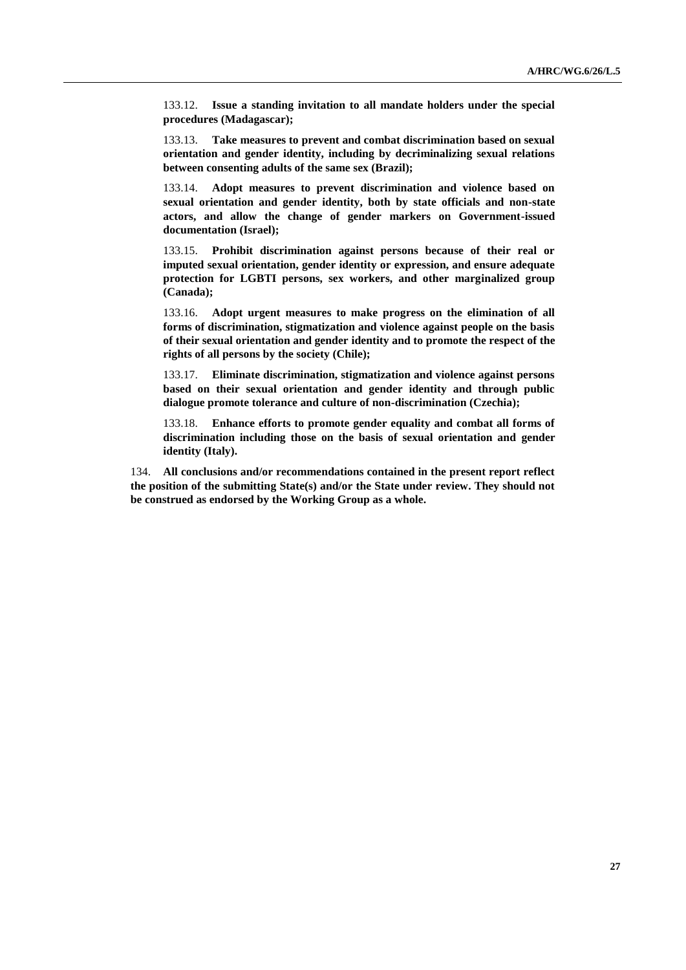133.12. **Issue a standing invitation to all mandate holders under the special procedures (Madagascar);** 

133.13. **Take measures to prevent and combat discrimination based on sexual orientation and gender identity, including by decriminalizing sexual relations between consenting adults of the same sex (Brazil);** 

133.14. **Adopt measures to prevent discrimination and violence based on sexual orientation and gender identity, both by state officials and non-state actors, and allow the change of gender markers on Government-issued documentation (Israel);**

133.15. **Prohibit discrimination against persons because of their real or imputed sexual orientation, gender identity or expression, and ensure adequate protection for LGBTI persons, sex workers, and other marginalized group (Canada);**

133.16. **Adopt urgent measures to make progress on the elimination of all forms of discrimination, stigmatization and violence against people on the basis of their sexual orientation and gender identity and to promote the respect of the rights of all persons by the society (Chile);**

133.17. **Eliminate discrimination, stigmatization and violence against persons based on their sexual orientation and gender identity and through public dialogue promote tolerance and culture of non-discrimination (Czechia);**

133.18. **Enhance efforts to promote gender equality and combat all forms of discrimination including those on the basis of sexual orientation and gender identity (Italy).**

134. **All conclusions and/or recommendations contained in the present report reflect the position of the submitting State(s) and/or the State under review. They should not be construed as endorsed by the Working Group as a whole.**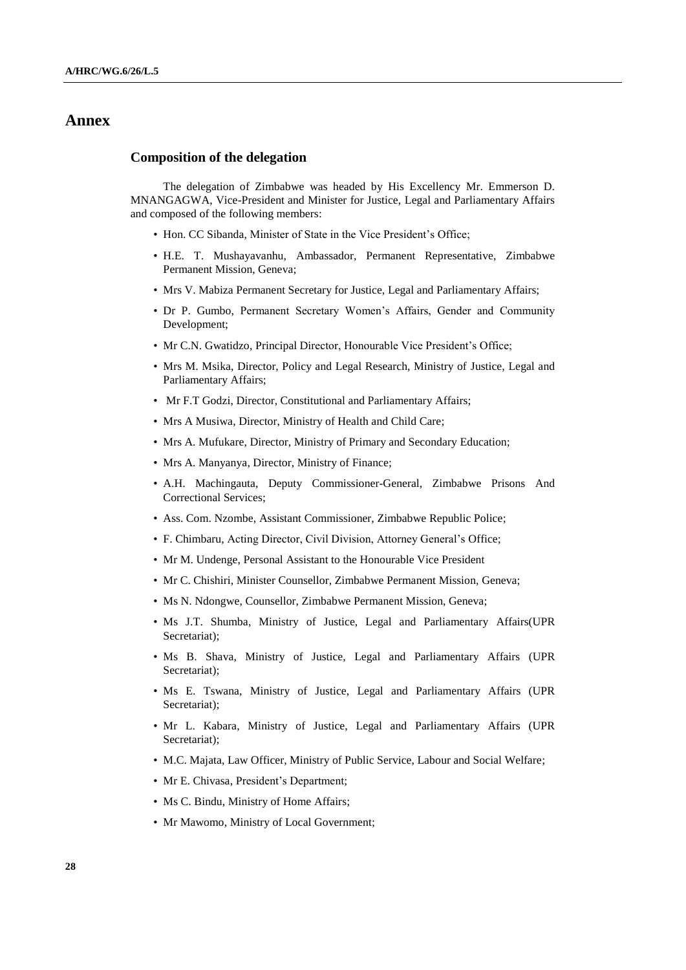## **Annex**

#### **Composition of the delegation**

The delegation of Zimbabwe was headed by His Excellency Mr. Emmerson D. MNANGAGWA, Vice-President and Minister for Justice, Legal and Parliamentary Affairs and composed of the following members:

- Hon. CC Sibanda, Minister of State in the Vice President's Office;
- H.E. T. Mushayavanhu, Ambassador, Permanent Representative, Zimbabwe Permanent Mission, Geneva;
- Mrs V. Mabiza Permanent Secretary for Justice, Legal and Parliamentary Affairs;
- Dr P. Gumbo, Permanent Secretary Women's Affairs, Gender and Community Development;
- Mr C.N. Gwatidzo, Principal Director, Honourable Vice President's Office;
- Mrs M. Msika, Director, Policy and Legal Research, Ministry of Justice, Legal and Parliamentary Affairs;
- Mr F.T Godzi, Director, Constitutional and Parliamentary Affairs;
- Mrs A Musiwa, Director, Ministry of Health and Child Care;
- Mrs A. Mufukare, Director, Ministry of Primary and Secondary Education;
- Mrs A. Manyanya, Director, Ministry of Finance;
- A.H. Machingauta, Deputy Commissioner-General, Zimbabwe Prisons And Correctional Services;
- Ass. Com. Nzombe, Assistant Commissioner, Zimbabwe Republic Police;
- F. Chimbaru, Acting Director, Civil Division, Attorney General's Office;
- Mr M. Undenge, Personal Assistant to the Honourable Vice President
- Mr C. Chishiri, Minister Counsellor, Zimbabwe Permanent Mission, Geneva;
- Ms N. Ndongwe, Counsellor, Zimbabwe Permanent Mission, Geneva;
- Ms J.T. Shumba, Ministry of Justice, Legal and Parliamentary Affairs(UPR Secretariat);
- Ms B. Shava, Ministry of Justice, Legal and Parliamentary Affairs (UPR Secretariat);
- Ms E. Tswana, Ministry of Justice, Legal and Parliamentary Affairs (UPR Secretariat);
- Mr L. Kabara, Ministry of Justice, Legal and Parliamentary Affairs (UPR Secretariat);
- M.C. Majata, Law Officer, Ministry of Public Service, Labour and Social Welfare;
- Mr E. Chivasa, President's Department;
- Ms C. Bindu, Ministry of Home Affairs;
- Mr Mawomo, Ministry of Local Government;